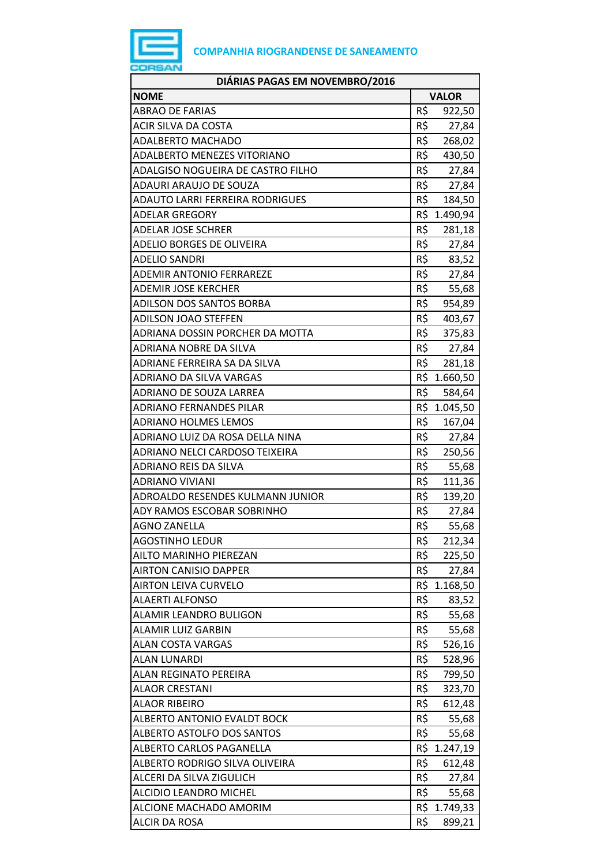

| DIÁRIAS PAGAS EM NOVEMBRO/2016          |              |              |
|-----------------------------------------|--------------|--------------|
| <b>NOME</b>                             | <b>VALOR</b> |              |
| <b>ABRAO DE FARIAS</b>                  | R\$          | 922,50       |
| <b>ACIR SILVA DA COSTA</b>              | R\$          | 27,84        |
| <b>ADALBERTO MACHADO</b>                | R\$          | 268,02       |
| ADALBERTO MENEZES VITORIANO             |              | R\$ 430,50   |
| ADALGISO NOGUEIRA DE CASTRO FILHO       | R\$          | 27,84        |
| ADAURI ARAUJO DE SOUZA                  | R\$          | 27,84        |
| ADAUTO LARRI FERREIRA RODRIGUES         | R\$          | 184,50       |
| <b>ADELAR GREGORY</b>                   |              | R\$ 1.490,94 |
| <b>ADELAR JOSE SCHRER</b>               | R\$          | 281,18       |
| ADELIO BORGES DE OLIVEIRA               | $R5$ $-$     | 27,84        |
| <b>ADELIO SANDRI</b>                    | R\$          | 83,52        |
| <b>ADEMIR ANTONIO FERRAREZE</b>         | $R\hat{S}$   | 27,84        |
| <b>ADEMIR JOSE KERCHER</b>              | R\$          | 55,68        |
| <b>ADILSON DOS SANTOS BORBA</b>         | R\$          | 954,89       |
| ADILSON JOAO STEFFEN                    | R\$          | 403,67       |
| ADRIANA DOSSIN PORCHER DA MOTTA         | R\$          | 375,83       |
| ADRIANA NOBRE DA SILVA                  | R\$          | 27,84        |
| ADRIANE FERREIRA SA DA SILVA            | R\$          | 281,18       |
| ADRIANO DA SILVA VARGAS                 |              | R\$ 1.660,50 |
| ADRIANO DE SOUZA LARREA                 | R\$          | 584,64       |
| <b>ADRIANO FERNANDES PILAR</b>          |              | R\$ 1.045,50 |
| <b>ADRIANO HOLMES LEMOS</b>             | R\$          | 167,04       |
| ADRIANO LUIZ DA ROSA DELLA NINA         |              | R\$ 27,84    |
| ADRIANO NELCI CARDOSO TEIXEIRA          | R\$          | 250,56       |
| ADRIANO REIS DA SILVA                   | R\$          | 55,68        |
| <b>ADRIANO VIVIANI</b>                  | R\$          | 111,36       |
| <b>ADROALDO RESENDES KULMANN JUNIOR</b> | R\$          | 139,20       |
| ADY RAMOS ESCOBAR SOBRINHO              | R\$          | 27,84        |
| <b>AGNO ZANELLA</b>                     | R\$          | 55,68        |
| <b>AGOSTINHO LEDUR</b>                  | R\$          | 212,34       |
| AILTO MARINHO PIEREZAN                  | R\$          | 225,50       |
| <b>AIRTON CANISIO DAPPER</b>            | R\$          | 27,84        |
| <b>AIRTON LEIVA CURVELO</b>             |              | R\$ 1.168,50 |
| <b>ALAERTI ALFONSO</b>                  | R\$          | 83,52        |
| ALAMIR LEANDRO BULIGON                  | R\$          | 55,68        |
| <b>ALAMIR LUIZ GARBIN</b>               | R\$          | 55,68        |
| <b>ALAN COSTA VARGAS</b>                | R\$          | 526,16       |
| <b>ALAN LUNARDI</b>                     | R\$          | 528,96       |
| <b>ALAN REGINATO PEREIRA</b>            | R\$          | 799,50       |
| <b>ALAOR CRESTANI</b>                   | R\$          | 323,70       |
| <b>ALAOR RIBEIRO</b>                    | R\$          | 612,48       |
| ALBERTO ANTONIO EVALDT BOCK             | R\$          | 55,68        |
| <b>ALBERTO ASTOLFO DOS SANTOS</b>       | R\$          | 55,68        |
| ALBERTO CARLOS PAGANELLA                |              | R\$ 1.247,19 |
| ALBERTO RODRIGO SILVA OLIVEIRA          | R\$          | 612,48       |
| ALCERI DA SILVA ZIGULICH                | R\$          | 27,84        |
| <b>ALCIDIO LEANDRO MICHEL</b>           | R\$          | 55,68        |
| ALCIONE MACHADO AMORIM                  |              | R\$ 1.749,33 |
| <b>ALCIR DA ROSA</b>                    | R\$          | 899,21       |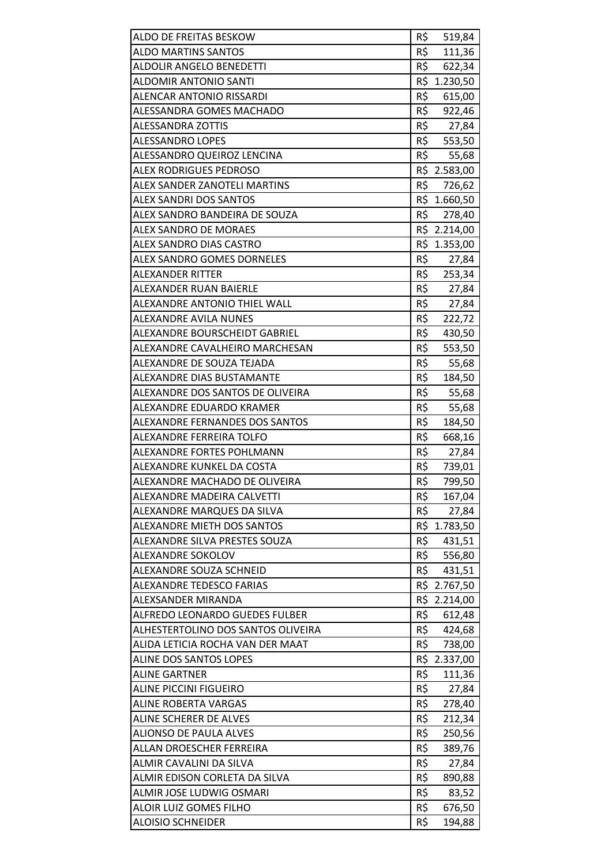| ALDO DE FREITAS BESKOW             | R\$ | 519,84                 |
|------------------------------------|-----|------------------------|
| <b>ALDO MARTINS SANTOS</b>         | R\$ | 111,36                 |
| <b>ALDOLIR ANGELO BENEDETTI</b>    | R\$ | 622,34                 |
| <b>ALDOMIR ANTONIO SANTI</b>       | R\$ | 1.230,50               |
| ALENCAR ANTONIO RISSARDI           | R\$ | 615,00                 |
| ALESSANDRA GOMES MACHADO           | R\$ | 922,46                 |
| ALESSANDRA ZOTTIS                  | R\$ | 27,84                  |
| <b>ALESSANDRO LOPES</b>            | R\$ | 553,50                 |
| ALESSANDRO QUEIROZ LENCINA         | R\$ | 55,68                  |
| <b>ALEX RODRIGUES PEDROSO</b>      |     | R\$ 2.583,00           |
| ALEX SANDER ZANOTELI MARTINS       | R\$ | 726,62                 |
| ALEX SANDRI DOS SANTOS             |     | R\$ 1.660,50           |
| ALEX SANDRO BANDEIRA DE SOUZA      | R\$ |                        |
| <b>ALEX SANDRO DE MORAES</b>       |     | 278,40<br>R\$ 2.214,00 |
|                                    |     |                        |
| ALEX SANDRO DIAS CASTRO            |     | R\$ 1.353,00           |
| <b>ALEX SANDRO GOMES DORNELES</b>  | R\$ | 27,84                  |
| ALEXANDER RITTER                   | R\$ | 253,34                 |
| ALEXANDER RUAN BAIERLE             | R\$ | 27,84                  |
| ALEXANDRE ANTONIO THIEL WALL       | R\$ | 27,84                  |
| <b>ALEXANDRE AVILA NUNES</b>       | R\$ | 222,72                 |
| ALEXANDRE BOURSCHEIDT GABRIEL      | R\$ | 430,50                 |
| ALEXANDRE CAVALHEIRO MARCHESAN     | R\$ | 553,50                 |
| ALEXANDRE DE SOUZA TEJADA          | R\$ | 55,68                  |
| ALEXANDRE DIAS BUSTAMANTE          | R\$ | 184,50                 |
| ALEXANDRE DOS SANTOS DE OLIVEIRA   | R\$ | 55,68                  |
| ALEXANDRE EDUARDO KRAMER           | R\$ | 55,68                  |
| ALEXANDRE FERNANDES DOS SANTOS     | R\$ | 184,50                 |
| ALEXANDRE FERREIRA TOLFO           | R\$ | 668,16                 |
| ALEXANDRE FORTES POHLMANN          | R\$ | 27,84                  |
| ALEXANDRE KUNKEL DA COSTA          | R\$ | 739,01                 |
| ALEXANDRE MACHADO DE OLIVEIRA      | R\$ | 799,50                 |
| ALEXANDRE MADEIRA CALVETTI         |     |                        |
|                                    | R\$ | 167,04                 |
| ALEXANDRE MARQUES DA SILVA         | R\$ | 27,84                  |
| ALEXANDRE MIETH DOS SANTOS         |     | R\$ 1.783,50           |
| ALEXANDRE SILVA PRESTES SOUZA      | R\$ | 431,51                 |
| ALEXANDRE SOKOLOV                  | R\$ | 556,80                 |
| ALEXANDRE SOUZA SCHNEID            | R\$ | 431,51                 |
| ALEXANDRE TEDESCO FARIAS           |     | R\$ 2.767,50           |
| ALEXSANDER MIRANDA                 | R\$ | 2.214,00               |
| ALFREDO LEONARDO GUEDES FULBER     | R\$ | 612,48                 |
| ALHESTERTOLINO DOS SANTOS OLIVEIRA | R\$ | 424,68                 |
| ALIDA LETICIA ROCHA VAN DER MAAT   | R\$ | 738,00                 |
| <b>ALINE DOS SANTOS LOPES</b>      |     | R\$ 2.337,00           |
| ALINE GARTNER                      | R\$ | 111,36                 |
| <b>ALINE PICCINI FIGUEIRO</b>      | R\$ | 27,84                  |
| ALINE ROBERTA VARGAS               | R\$ | 278,40                 |
| ALINE SCHERER DE ALVES             | R\$ | 212,34                 |
| <b>ALIONSO DE PAULA ALVES</b>      | R\$ | 250,56                 |
| ALLAN DROESCHER FERREIRA           | R\$ | 389,76                 |
| ALMIR CAVALINI DA SILVA            | R\$ | 27,84                  |
| ALMIR EDISON CORLETA DA SILVA      | R\$ | 890,88                 |
| ALMIR JOSE LUDWIG OSMARI           | R\$ | 83,52                  |
| <b>ALOIR LUIZ GOMES FILHO</b>      | R\$ | 676,50                 |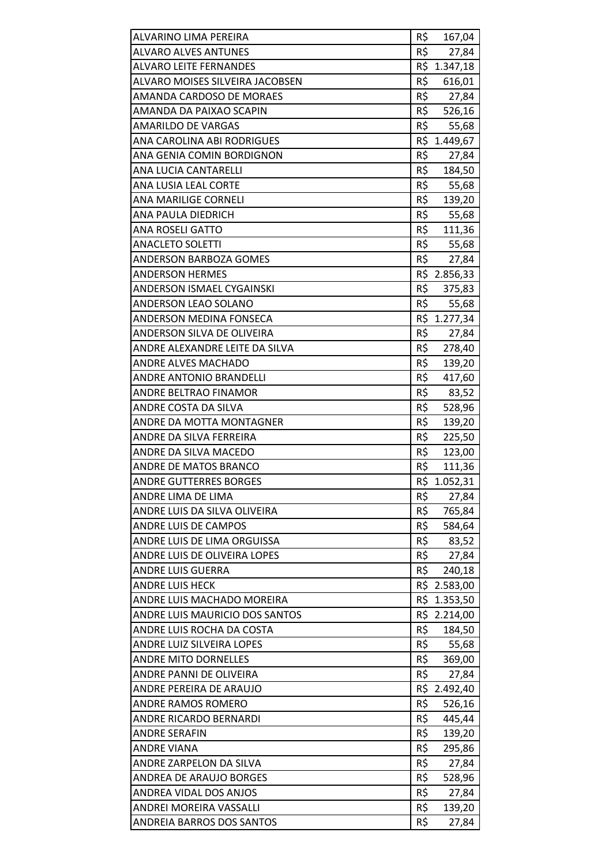| ALVARINO LIMA PEREIRA                                       | R\$        | 167,04          |
|-------------------------------------------------------------|------------|-----------------|
| <b>ALVARO ALVES ANTUNES</b>                                 | R\$        | 27,84           |
| <b>ALVARO LEITE FERNANDES</b>                               |            | R\$ 1.347,18    |
| ALVARO MOISES SILVEIRA JACOBSEN                             | R\$        | 616,01          |
| AMANDA CARDOSO DE MORAES                                    | R\$        | 27,84           |
| AMANDA DA PAIXAO SCAPIN                                     |            | R\$ 526,16      |
| <b>AMARILDO DE VARGAS</b>                                   | R\$        | 55,68           |
| ANA CAROLINA ABI RODRIGUES                                  | R\$        | 1.449,67        |
| ANA GENIA COMIN BORDIGNON                                   | R\$        | 27,84           |
| ANA LUCIA CANTARELLI                                        | R\$        | 184,50          |
| ANA LUSIA LEAL CORTE                                        | R\$        | 55,68           |
| ANA MARILIGE CORNELI                                        | R\$        | 139,20          |
| ANA PAULA DIEDRICH                                          | R\$        | 55,68           |
| <b>ANA ROSELI GATTO</b>                                     | R\$        | 111,36          |
| <b>ANACLETO SOLETTI</b>                                     | R\$        | 55,68           |
| ANDERSON BARBOZA GOMES                                      | R\$        | 27,84           |
| <b>ANDERSON HERMES</b>                                      |            | R\$ 2.856,33    |
| ANDERSON ISMAEL CYGAINSKI                                   | R\$        | 375,83          |
| ANDERSON LEAO SOLANO                                        | R\$        | 55,68           |
| <b>ANDERSON MEDINA FONSECA</b>                              |            | R\$ 1.277,34    |
| ANDERSON SILVA DE OLIVEIRA                                  | R\$        | 27,84           |
| ANDRE ALEXANDRE LEITE DA SILVA                              | R\$        | 278,40          |
| <b>ANDRE ALVES MACHADO</b>                                  | R\$        | 139,20          |
| ANDRE ANTONIO BRANDELLI                                     | R\$        | 417,60          |
| ANDRE BELTRAO FINAMOR                                       | R\$        | 83,52           |
| ANDRE COSTA DA SILVA                                        | R\$        | 528,96          |
| ANDRE DA MOTTA MONTAGNER                                    | R\$        | 139,20          |
| ANDRE DA SILVA FERREIRA                                     | R\$        | 225,50          |
| ANDRE DA SILVA MACEDO                                       | R\$        | 123,00          |
| <b>ANDRE DE MATOS BRANCO</b>                                | R\$        | 111,36          |
| <b>ANDRE GUTTERRES BORGES</b>                               |            | R\$ 1.052,31    |
| ANDRE LIMA DE LIMA                                          | R\$        | 27,84           |
| ANDRE LUIS DA SILVA OLIVEIRA                                | R\$        | 765,84          |
| ANDRE LUIS DE CAMPOS                                        | R\$        | 584,64          |
| ANDRE LUIS DE LIMA ORGUISSA                                 | R\$        | 83,52           |
| ANDRE LUIS DE OLIVEIRA LOPES                                | R\$        | 27,84           |
| ANDRE LUIS GUERRA                                           | R\$        | 240,18          |
| <b>ANDRE LUIS HECK</b>                                      |            | R\$ 2.583,00    |
| ANDRE LUIS MACHADO MOREIRA                                  |            | R\$ 1.353,50    |
| ANDRE LUIS MAURICIO DOS SANTOS                              |            | R\$ 2.214,00    |
| ANDRE LUIS ROCHA DA COSTA                                   | R\$        | 184,50          |
| ANDRE LUIZ SILVEIRA LOPES                                   | R\$        | 55,68           |
| <b>ANDRE MITO DORNELLES</b>                                 | R\$        | 369,00          |
| ANDRE PANNI DE OLIVEIRA                                     | R\$        | 27,84           |
| ANDRE PEREIRA DE ARAUJO                                     |            | R\$ 2.492,40    |
| ANDRE RAMOS ROMERO                                          | R\$        | 526,16          |
| ANDRE RICARDO BERNARDI                                      | R\$        | 445,44          |
| <b>ANDRE SERAFIN</b>                                        | R\$        | 139,20          |
| <b>ANDRE VIANA</b>                                          | R\$        | 295,86          |
| ANDRE ZARPELON DA SILVA                                     | R\$        | 27,84           |
| ANDREA DE ARAUJO BORGES                                     | R\$        | 528,96          |
|                                                             |            |                 |
| ANDREA VIDAL DOS ANJOS                                      | R\$        | 27,84           |
| ANDREI MOREIRA VASSALLI<br><b>ANDREIA BARROS DOS SANTOS</b> | R\$<br>R\$ | 139,20<br>27,84 |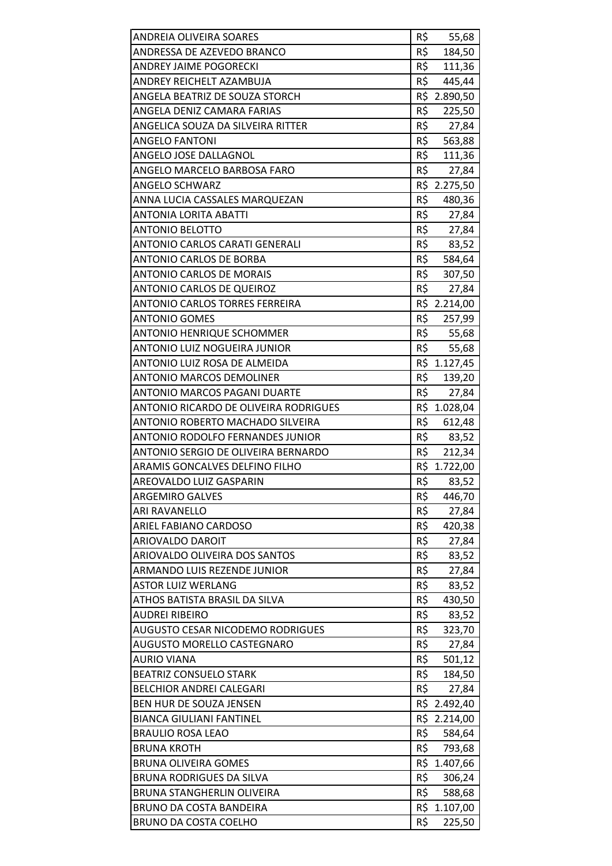| <b>ANDREIA OLIVEIRA SOARES</b>                               | R\$        | 55,68                  |
|--------------------------------------------------------------|------------|------------------------|
| ANDRESSA DE AZEVEDO BRANCO                                   | R\$        | 184,50                 |
| <b>ANDREY JAIME POGORECKI</b>                                | R\$        | 111,36                 |
| ANDREY REICHELT AZAMBUJA                                     | R\$        | 445,44                 |
| ANGELA BEATRIZ DE SOUZA STORCH                               |            | R\$ 2.890,50           |
| ANGELA DENIZ CAMARA FARIAS                                   | R\$        | 225,50                 |
| ANGELICA SOUZA DA SILVEIRA RITTER                            | R\$        | 27,84                  |
| <b>ANGELO FANTONI</b>                                        | R\$        | 563,88                 |
| ANGELO JOSE DALLAGNOL                                        | R\$        | 111,36                 |
| ANGELO MARCELO BARBOSA FARO                                  | R\$        | 27,84                  |
| <b>ANGELO SCHWARZ</b>                                        |            | R\$ 2.275,50           |
| ANNA LUCIA CASSALES MARQUEZAN                                | R\$        | 480,36                 |
| <b>ANTONIA LORITA ABATTI</b>                                 | R\$        | 27,84                  |
| <b>ANTONIO BELOTTO</b>                                       | R\$        | 27,84                  |
| ANTONIO CARLOS CARATI GENERALI                               |            | R\$<br>83,52           |
| <b>ANTONIO CARLOS DE BORBA</b>                               |            | R\$ 584,64             |
| <b>ANTONIO CARLOS DE MORAIS</b>                              | R\$        | 307,50                 |
| <b>ANTONIO CARLOS DE QUEIROZ</b>                             | R\$        | 27,84                  |
| ANTONIO CARLOS TORRES FERREIRA                               |            | R\$ 2.214,00           |
| <b>ANTONIO GOMES</b>                                         | R\$        | 257,99                 |
| <b>ANTONIO HENRIQUE SCHOMMER</b>                             |            | R\$ 55,68              |
| ANTONIO LUIZ NOGUEIRA JUNIOR                                 | R\$        | 55,68                  |
| ANTONIO LUIZ ROSA DE ALMEIDA                                 |            | R\$ 1.127,45           |
| <b>ANTONIO MARCOS DEMOLINER</b>                              | R\$        | 139,20                 |
| ANTONIO MARCOS PAGANI DUARTE                                 | R\$        | 27,84                  |
| ANTONIO RICARDO DE OLIVEIRA RODRIGUES                        |            | R\$ 1.028,04           |
| ANTONIO ROBERTO MACHADO SILVEIRA                             | R\$        | 612,48                 |
| <b>ANTONIO RODOLFO FERNANDES JUNIOR</b>                      | R\$        | 83,52                  |
| ANTONIO SERGIO DE OLIVEIRA BERNARDO                          | R\$        | 212,34                 |
| ARAMIS GONCALVES DELFINO FILHO                               |            | R\$ 1.722,00           |
| AREOVALDO LUIZ GASPARIN                                      | R\$        | 83,52                  |
| <b>ARGEMIRO GALVES</b>                                       | R\$        | 446,70                 |
| <b>ARI RAVANELLO</b>                                         | R\$        | 27,84                  |
| ARIEL FABIANO CARDOSO                                        | R\$        | 420,38                 |
| <b>ARIOVALDO DAROIT</b>                                      | R\$        | 27,84                  |
| ARIOVALDO OLIVEIRA DOS SANTOS                                | R\$        | 83,52                  |
| ARMANDO LUIS REZENDE JUNIOR                                  | R\$        | 27,84                  |
| <b>ASTOR LUIZ WERLANG</b>                                    | R\$        | 83,52                  |
| ATHOS BATISTA BRASIL DA SILVA                                | R\$        | 430,50                 |
| <b>AUDREI RIBEIRO</b>                                        | R\$        | 83,52                  |
| <b>AUGUSTO CESAR NICODEMO RODRIGUES</b>                      | R\$        | 323,70                 |
| <b>AUGUSTO MORELLO CASTEGNARO</b>                            | R\$        | 27,84                  |
| <b>AURIO VIANA</b>                                           | R\$        | 501,12                 |
| <b>BEATRIZ CONSUELO STARK</b>                                | R\$        | 184,50                 |
| <b>BELCHIOR ANDREI CALEGARI</b>                              | R\$        | 27,84                  |
| BEN HUR DE SOUZA JENSEN                                      |            | R\$ 2.492,40           |
| <b>BIANCA GIULIANI FANTINEL</b>                              |            | R\$ 2.214,00           |
| <b>BRAULIO ROSA LEAO</b>                                     | R\$        | 584,64                 |
| <b>BRUNA KROTH</b>                                           | R\$        | 793,68                 |
| <b>BRUNA OLIVEIRA GOMES</b>                                  | R\$        | 1.407,66               |
| <b>BRUNA RODRIGUES DA SILVA</b>                              | R\$<br>R\$ | 306,24                 |
| <b>BRUNA STANGHERLIN OLIVEIRA</b><br>BRUNO DA COSTA BANDEIRA |            | 588,68<br>R\$ 1.107,00 |
| BRUNO DA COSTA COELHO                                        | R\$        | 225,50                 |
|                                                              |            |                        |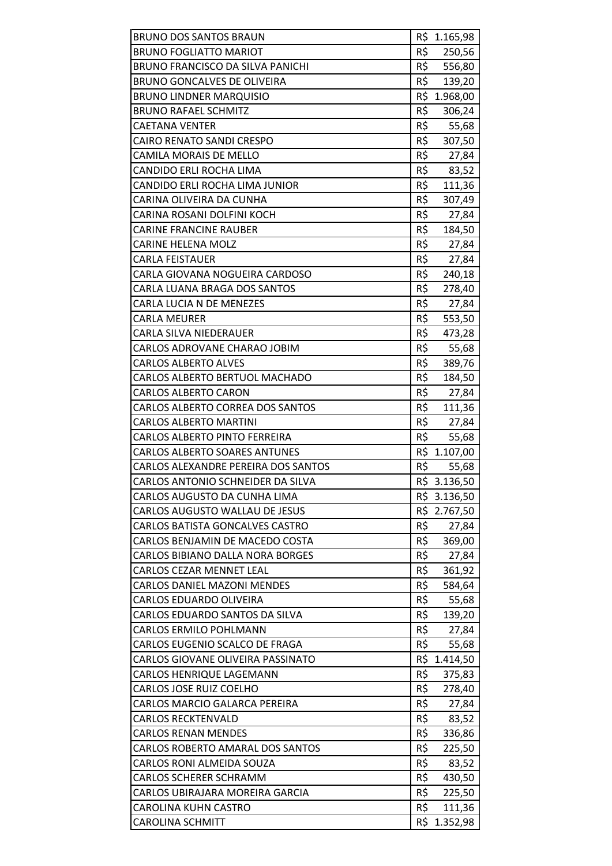| <b>BRUNO DOS SANTOS BRAUN</b>           |     | R\$ 1.165,98 |
|-----------------------------------------|-----|--------------|
| <b>BRUNO FOGLIATTO MARIOT</b>           | R\$ | 250,56       |
| BRUNO FRANCISCO DA SILVA PANICHI        | R\$ | 556,80       |
| <b>BRUNO GONCALVES DE OLIVEIRA</b>      | R\$ | 139,20       |
| <b>BRUNO LINDNER MARQUISIO</b>          |     | R\$ 1.968,00 |
| <b>BRUNO RAFAEL SCHMITZ</b>             | R\$ | 306,24       |
| <b>CAETANA VENTER</b>                   | R\$ | 55,68        |
| <b>CAIRO RENATO SANDI CRESPO</b>        | R\$ | 307,50       |
| CAMILA MORAIS DE MELLO                  | R\$ | 27,84        |
| CANDIDO ERLI ROCHA LIMA                 | R\$ | 83,52        |
| CANDIDO ERLI ROCHA LIMA JUNIOR          | R\$ | 111,36       |
| CARINA OLIVEIRA DA CUNHA                | R\$ | 307,49       |
| CARINA ROSANI DOLFINI KOCH              | R\$ | 27,84        |
| <b>CARINE FRANCINE RAUBER</b>           | R\$ | 184,50       |
| <b>CARINE HELENA MOLZ</b>               | R\$ | 27,84        |
| <b>CARLA FEISTAUER</b>                  | R\$ | 27,84        |
| CARLA GIOVANA NOGUEIRA CARDOSO          | R\$ | 240,18       |
| CARLA LUANA BRAGA DOS SANTOS            | R\$ | 278,40       |
| CARLA LUCIA N DE MENEZES                | R\$ | 27,84        |
| CARLA MEURER                            | R\$ | 553,50       |
| CARLA SILVA NIEDERAUER                  | R\$ | 473,28       |
| CARLOS ADROVANE CHARAO JOBIM            | R\$ | 55,68        |
| <b>CARLOS ALBERTO ALVES</b>             | R\$ | 389,76       |
| CARLOS ALBERTO BERTUOL MACHADO          | R\$ | 184,50       |
| <b>CARLOS ALBERTO CARON</b>             | R\$ | 27,84        |
| CARLOS ALBERTO CORREA DOS SANTOS        | R\$ | 111,36       |
| <b>CARLOS ALBERTO MARTINI</b>           | R\$ | 27,84        |
| <b>CARLOS ALBERTO PINTO FERREIRA</b>    | R\$ | 55,68        |
| <b>CARLOS ALBERTO SOARES ANTUNES</b>    |     | R\$ 1.107,00 |
| CARLOS ALEXANDRE PEREIRA DOS SANTOS     | R\$ | 55,68        |
| CARLOS ANTONIO SCHNEIDER DA SILVA       |     | R\$ 3.136,50 |
| CARLOS AUGUSTO DA CUNHA LIMA            |     | R\$ 3.136,50 |
| CARLOS AUGUSTO WALLAU DE JESUS          |     | R\$ 2.767,50 |
| CARLOS BATISTA GONCALVES CASTRO         | R\$ | 27,84        |
| CARLOS BENJAMIN DE MACEDO COSTA         | R\$ | 369,00       |
| <b>CARLOS BIBIANO DALLA NORA BORGES</b> | R\$ | 27,84        |
| <b>CARLOS CEZAR MENNET LEAL</b>         | R\$ | 361,92       |
| <b>CARLOS DANIEL MAZONI MENDES</b>      | R\$ | 584,64       |
| CARLOS EDUARDO OLIVEIRA                 | R\$ | 55,68        |
| CARLOS EDUARDO SANTOS DA SILVA          | R\$ | 139,20       |
| CARLOS ERMILO POHLMANN                  | R\$ | 27,84        |
| CARLOS EUGENIO SCALCO DE FRAGA          | R\$ | 55,68        |
| CARLOS GIOVANE OLIVEIRA PASSINATO       |     | R\$ 1.414,50 |
| CARLOS HENRIQUE LAGEMANN                | R\$ | 375,83       |
| <b>CARLOS JOSE RUIZ COELHO</b>          | R\$ | 278,40       |
| CARLOS MARCIO GALARCA PEREIRA           | R\$ | 27,84        |
| <b>CARLOS RECKTENVALD</b>               | R\$ | 83,52        |
| <b>CARLOS RENAN MENDES</b>              | R\$ | 336,86       |
| CARLOS ROBERTO AMARAL DOS SANTOS        | R\$ | 225,50       |
| <b>CARLOS RONI ALMEIDA SOUZA</b>        | R\$ | 83,52        |
| <b>CARLOS SCHERER SCHRAMM</b>           | R\$ | 430,50       |
| CARLOS UBIRAJARA MOREIRA GARCIA         | R\$ | 225,50       |
| CAROLINA KUHN CASTRO                    | R\$ | 111,36       |
| <b>CAROLINA SCHMITT</b>                 | R\$ | 1.352,98     |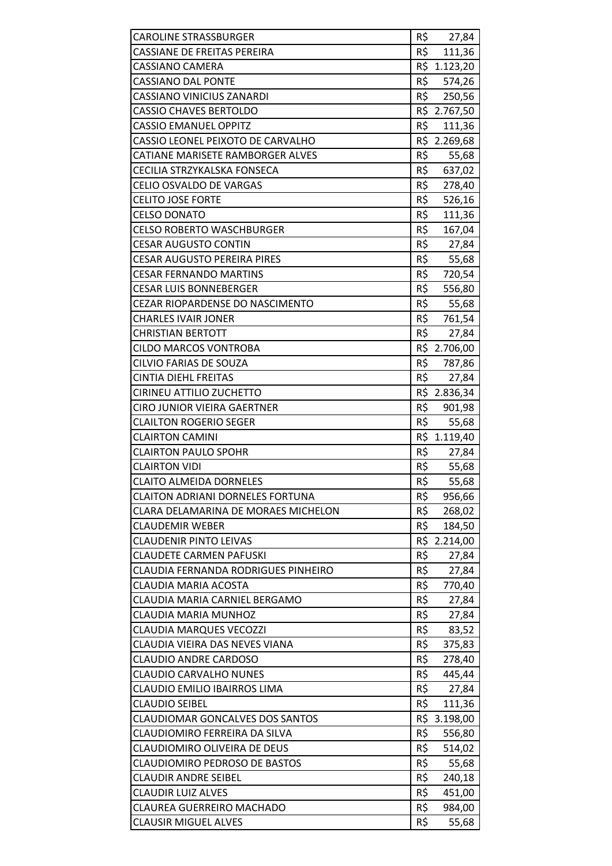| <b>CAROLINE STRASSBURGER</b>                             | R\$        | 27,84           |
|----------------------------------------------------------|------------|-----------------|
| CASSIANE DE FREITAS PEREIRA                              | R\$        | 111,36          |
| <b>CASSIANO CAMERA</b>                                   |            | R\$ 1.123,20    |
| <b>CASSIANO DAL PONTE</b>                                | R\$        | 574,26          |
| CASSIANO VINICIUS ZANARDI                                | R\$        | 250,56          |
| <b>CASSIO CHAVES BERTOLDO</b>                            |            | R\$ 2.767,50    |
| <b>CASSIO EMANUEL OPPITZ</b>                             | R\$        | 111,36          |
| CASSIO LEONEL PEIXOTO DE CARVALHO                        |            | R\$ 2.269,68    |
| CATIANE MARISETE RAMBORGER ALVES                         | R\$        | 55,68           |
| CECILIA STRZYKALSKA FONSECA                              | R\$        | 637,02          |
| CELIO OSVALDO DE VARGAS                                  | R\$        | 278,40          |
| <b>CELITO JOSE FORTE</b>                                 | R\$        | 526,16          |
| <b>CELSO DONATO</b>                                      | R\$        | 111,36          |
| <b>CELSO ROBERTO WASCHBURGER</b>                         | R\$        | 167,04          |
| <b>CESAR AUGUSTO CONTIN</b>                              | R\$        | 27,84           |
| <b>CESAR AUGUSTO PEREIRA PIRES</b>                       | R\$        | 55,68           |
| <b>CESAR FERNANDO MARTINS</b>                            | R\$        | 720,54          |
| <b>CESAR LUIS BONNEBERGER</b>                            | R\$        | 556,80          |
| CEZAR RIOPARDENSE DO NASCIMENTO                          | R\$        | 55,68           |
| <b>CHARLES IVAIR JONER</b>                               | R\$        | 761,54          |
| <b>CHRISTIAN BERTOTT</b>                                 | R\$        | 27,84           |
| <b>CILDO MARCOS VONTROBA</b>                             |            | R\$ 2.706,00    |
| CILVIO FARIAS DE SOUZA                                   | R\$        | 787,86          |
| <b>CINTIA DIEHL FREITAS</b>                              | R\$        | 27,84           |
| CIRINEU ATTILIO ZUCHETTO                                 |            | R\$ 2.836,34    |
| <b>CIRO JUNIOR VIEIRA GAERTNER</b>                       | R\$        | 901,98          |
|                                                          |            |                 |
| <b>CLAILTON ROGERIO SEGER</b>                            | R\$        | 55,68           |
| <b>CLAIRTON CAMINI</b>                                   |            | R\$ 1.119,40    |
| <b>CLAIRTON PAULO SPOHR</b>                              | R\$        | 27,84           |
| <b>CLAIRTON VIDI</b>                                     | R\$        | 55,68           |
| <b>CLAITO ALMEIDA DORNELES</b>                           | R\$        | 55,68           |
| <b>CLAITON ADRIANI DORNELES FORTUNA</b>                  | R\$        | 956,66          |
| <b>CLARA DELAMARINA DE MORAES MICHELON</b>               | R\$        | 268,02          |
| <b>CLAUDEMIR WEBER</b>                                   | R\$        | 184,50          |
| <b>CLAUDENIR PINTO LEIVAS</b>                            | R\$        | 2.214,00        |
| <b>CLAUDETE CARMEN PAFUSKI</b>                           | R\$        | 27,84           |
| CLAUDIA FERNANDA RODRIGUES PINHEIRO                      | R\$        | 27,84           |
| CLAUDIA MARIA ACOSTA                                     | R\$        | 770,40          |
| CLAUDIA MARIA CARNIEL BERGAMO                            | R\$        | 27,84           |
| CLAUDIA MARIA MUNHOZ                                     | R\$        | 27,84           |
| <b>CLAUDIA MARQUES VECOZZI</b>                           | R\$        | 83,52           |
| CLAUDIA VIEIRA DAS NEVES VIANA                           | R\$        | 375,83          |
| <b>CLAUDIO ANDRE CARDOSO</b>                             | R\$        | 278,40          |
| <b>CLAUDIO CARVALHO NUNES</b>                            | R\$        | 445,44          |
| CLAUDIO EMILIO IBAIRROS LIMA                             | R\$        | 27,84           |
| <b>CLAUDIO SEIBEL</b>                                    | R\$        | 111,36          |
| <b>CLAUDIOMAR GONCALVES DOS SANTOS</b>                   |            | R\$ 3.198,00    |
| CLAUDIOMIRO FERREIRA DA SILVA                            | R\$        | 556,80          |
| CLAUDIOMIRO OLIVEIRA DE DEUS                             | R\$        | 514,02          |
| <b>CLAUDIOMIRO PEDROSO DE BASTOS</b>                     | R\$        | 55,68           |
| <b>CLAUDIR ANDRE SEIBEL</b>                              | R\$        | 240,18          |
| <b>CLAUDIR LUIZ ALVES</b>                                | R\$        | 451,00          |
| CLAUREA GUERREIRO MACHADO<br><b>CLAUSIR MIGUEL ALVES</b> | R\$<br>R\$ | 984,00<br>55,68 |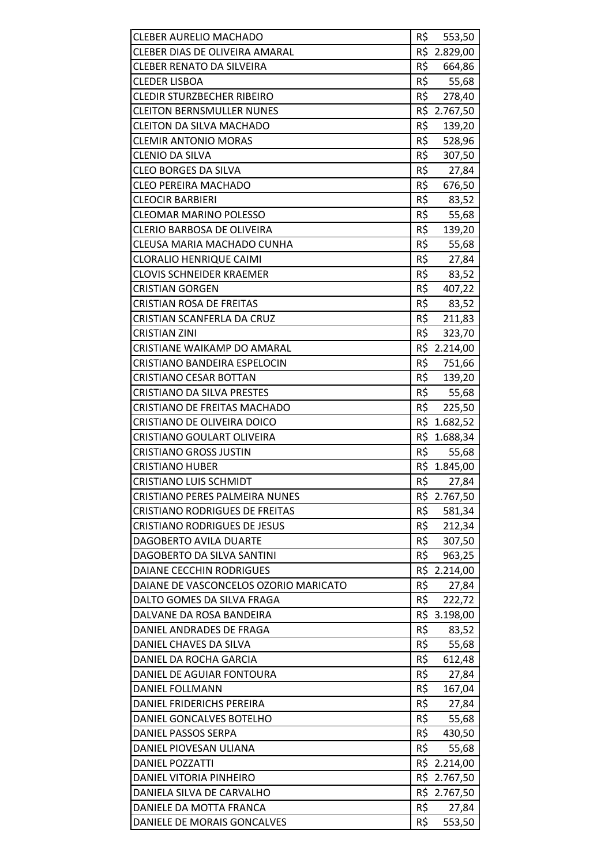| <b>CLEBER AURELIO MACHADO</b>         | R\$<br>553,50 |
|---------------------------------------|---------------|
| <b>CLEBER DIAS DE OLIVEIRA AMARAL</b> | R\$ 2.829,00  |
| <b>CLEBER RENATO DA SILVEIRA</b>      | R\$<br>664,86 |
| <b>CLEDER LISBOA</b>                  | R\$<br>55,68  |
| <b>CLEDIR STURZBECHER RIBEIRO</b>     | R\$<br>278,40 |
| <b>CLEITON BERNSMULLER NUNES</b>      | R\$ 2.767,50  |
| <b>CLEITON DA SILVA MACHADO</b>       | R\$<br>139,20 |
| <b>CLEMIR ANTONIO MORAS</b>           | R\$<br>528,96 |
| <b>CLENIO DA SILVA</b>                | R\$<br>307,50 |
| <b>CLEO BORGES DA SILVA</b>           | R\$<br>27,84  |
| <b>CLEO PEREIRA MACHADO</b>           | R\$<br>676,50 |
| <b>CLEOCIR BARBIERI</b>               | R\$<br>83,52  |
| <b>CLEOMAR MARINO POLESSO</b>         | R\$<br>55,68  |
| CLERIO BARBOSA DE OLIVEIRA            | R\$<br>139,20 |
| CLEUSA MARIA MACHADO CUNHA            | R\$<br>55,68  |
| <b>CLORALIO HENRIQUE CAIMI</b>        | R\$<br>27,84  |
| <b>CLOVIS SCHNEIDER KRAEMER</b>       | R\$<br>83,52  |
| <b>CRISTIAN GORGEN</b>                | R\$<br>407,22 |
| <b>CRISTIAN ROSA DE FREITAS</b>       | R\$<br>83,52  |
| <b>CRISTIAN SCANFERLA DA CRUZ</b>     | R\$<br>211,83 |
| <b>CRISTIAN ZINI</b>                  | R\$<br>323,70 |
| CRISTIANE WAIKAMP DO AMARAL           | R\$ 2.214,00  |
| CRISTIANO BANDEIRA ESPELOCIN          | R\$<br>751,66 |
| <b>CRISTIANO CESAR BOTTAN</b>         | R\$<br>139,20 |
| <b>CRISTIANO DA SILVA PRESTES</b>     | R\$ 55,68     |
| CRISTIANO DE FREITAS MACHADO          | R\$<br>225,50 |
| CRISTIANO DE OLIVEIRA DOICO           | R\$ 1.682,52  |
| <b>CRISTIANO GOULART OLIVEIRA</b>     | R\$ 1.688,34  |
| <b>CRISTIANO GROSS JUSTIN</b>         | R\$<br>55,68  |
| <b>CRISTIANO HUBER</b>                | R\$ 1.845,00  |
| <b>CRISTIANO LUIS SCHMIDT</b>         | R\$<br>27,84  |
| CRISTIANO PERES PALMEIRA NUNES        | R\$ 2.767,50  |
| <b>CRISTIANO RODRIGUES DE FREITAS</b> | R\$<br>581,34 |
| <b>CRISTIANO RODRIGUES DE JESUS</b>   | R\$<br>212,34 |
| DAGOBERTO AVILA DUARTE                | R\$ 307,50    |
| DAGOBERTO DA SILVA SANTINI            | R\$<br>963,25 |
| DAIANE CECCHIN RODRIGUES              | R\$ 2.214,00  |
| DAIANE DE VASCONCELOS OZORIO MARICATO | R\$<br>27,84  |
| DALTO GOMES DA SILVA FRAGA            | R\$<br>222,72 |
| DALVANE DA ROSA BANDEIRA              | R\$ 3.198,00  |
| DANIEL ANDRADES DE FRAGA              | R\$<br>83,52  |
| DANIEL CHAVES DA SILVA                | R\$<br>55,68  |
| DANIEL DA ROCHA GARCIA                | R\$<br>612,48 |
| DANIEL DE AGUIAR FONTOURA             | R\$<br>27,84  |
| DANIEL FOLLMANN                       | R\$<br>167,04 |
| DANIEL FRIDERICHS PEREIRA             | R\$<br>27,84  |
| DANIEL GONCALVES BOTELHO              | R\$<br>55,68  |
| DANIEL PASSOS SERPA                   | R\$<br>430,50 |
| DANIEL PIOVESAN ULIANA                | R\$<br>55,68  |
| <b>DANIEL POZZATTI</b>                | R\$ 2.214,00  |
| DANIEL VITORIA PINHEIRO               | R\$ 2.767,50  |
| DANIELA SILVA DE CARVALHO             | R\$ 2.767,50  |
| DANIELE DA MOTTA FRANCA               | R\$<br>27,84  |
| DANIELE DE MORAIS GONCALVES           | R\$<br>553,50 |
|                                       |               |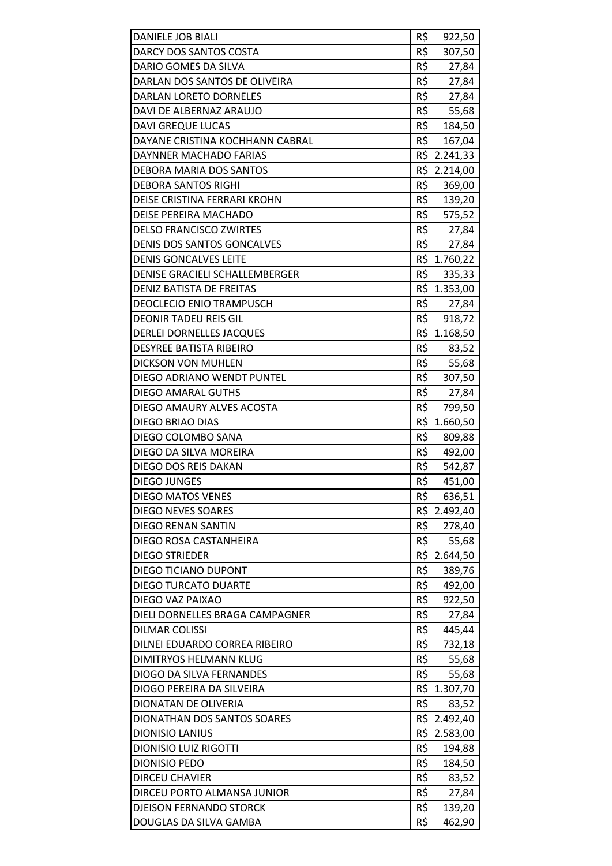| <b>DANIELE JOB BIALI</b>                                 | R\$             | 922,50           |
|----------------------------------------------------------|-----------------|------------------|
| DARCY DOS SANTOS COSTA                                   | R\$             | 307,50           |
| DARIO GOMES DA SILVA                                     | R\$             | 27,84            |
| DARLAN DOS SANTOS DE OLIVEIRA                            | R\$             | 27,84            |
| DARLAN LORETO DORNELES                                   | R\$             | 27,84            |
| DAVI DE ALBERNAZ ARAUJO                                  | R\$             | 55,68            |
| <b>DAVI GREQUE LUCAS</b>                                 | R\$             | 184,50           |
| DAYANE CRISTINA KOCHHANN CABRAL                          | R\$             | 167,04           |
| DAYNNER MACHADO FARIAS                                   |                 | R\$ 2.241,33     |
| DEBORA MARIA DOS SANTOS                                  |                 | R\$ 2.214,00     |
| <b>DEBORA SANTOS RIGHI</b>                               | $R\overline{S}$ | 369,00           |
| DEISE CRISTINA FERRARI KROHN                             | R\$             | 139,20           |
| DEISE PEREIRA MACHADO                                    | R\$             | 575,52           |
| <b>DELSO FRANCISCO ZWIRTES</b>                           | R\$             | 27,84            |
| <b>DENIS DOS SANTOS GONCALVES</b>                        | R\$             | 27,84            |
| <b>DENIS GONCALVES LEITE</b>                             |                 | R\$ 1.760,22     |
| DENISE GRACIELI SCHALLEMBERGER                           | R\$             | 335,33           |
| <b>DENIZ BATISTA DE FREITAS</b>                          |                 | R\$ 1.353,00     |
| <b>DEOCLECIO ENIO TRAMPUSCH</b>                          | R\$             | 27,84            |
| <b>DEONIR TADEU REIS GIL</b>                             |                 | R\$ 918,72       |
| DERLEI DORNELLES JACQUES                                 |                 | R\$ 1.168,50     |
| <b>DESYREE BATISTA RIBEIRO</b>                           | R\$             | 83,52            |
| <b>DICKSON VON MUHLEN</b>                                | R\$             | 55,68            |
| DIEGO ADRIANO WENDT PUNTEL                               | R\$             | 307,50           |
| <b>DIEGO AMARAL GUTHS</b>                                | R\$             | 27,84            |
| DIEGO AMAURY ALVES ACOSTA                                | R\$             | 799,50           |
| DIEGO BRIAO DIAS                                         |                 | R\$ 1.660,50     |
| DIEGO COLOMBO SANA                                       | R\$             | 809,88           |
| DIEGO DA SILVA MOREIRA                                   | R\$             | 492,00           |
| DIEGO DOS REIS DAKAN                                     | R\$             | 542,87           |
| <b>DIEGO JUNGES</b>                                      |                 |                  |
|                                                          | R\$             | 451,00           |
| <b>DIEGO MATOS VENES</b>                                 | R\$             | 636,51           |
| <b>DIEGO NEVES SOARES</b>                                |                 | R\$ 2.492,40     |
| <b>DIEGO RENAN SANTIN</b>                                | R\$             | 278,40           |
| DIEGO ROSA CASTANHEIRA                                   | R\$             | 55,68            |
| <b>DIEGO STRIEDER</b>                                    | R\$             | 2.644,50         |
| <b>DIEGO TICIANO DUPONT</b>                              | R\$             | 389,76           |
| <b>DIEGO TURCATO DUARTE</b>                              | R\$             | 492,00           |
| DIEGO VAZ PAIXAO                                         | R\$             | 922,50           |
| DIELI DORNELLES BRAGA CAMPAGNER                          | R\$             | 27,84            |
| <b>DILMAR COLISSI</b>                                    | R\$             | 445,44           |
| DILNEI EDUARDO CORREA RIBEIRO                            | R\$             | 732,18           |
| DIMITRYOS HELMANN KLUG                                   | R\$             | 55,68            |
| DIOGO DA SILVA FERNANDES                                 | R\$             | 55,68            |
| DIOGO PEREIRA DA SILVEIRA                                |                 | R\$ 1.307,70     |
| <b>DIONATAN DE OLIVERIA</b>                              | R\$             | 83,52            |
| DIONATHAN DOS SANTOS SOARES                              |                 | R\$ 2.492,40     |
| <b>DIONISIO LANIUS</b>                                   |                 | R\$ 2.583,00     |
| <b>DIONISIO LUIZ RIGOTTI</b>                             | R\$             | 194,88           |
| <b>DIONISIO PEDO</b>                                     | R\$             | 184,50           |
| <b>DIRCEU CHAVIER</b>                                    | R\$             | 83,52            |
| DIRCEU PORTO ALMANSA JUNIOR                              | R\$             | 27,84            |
| <b>DJEISON FERNANDO STORCK</b><br>DOUGLAS DA SILVA GAMBA | R\$<br>R\$      | 139,20<br>462,90 |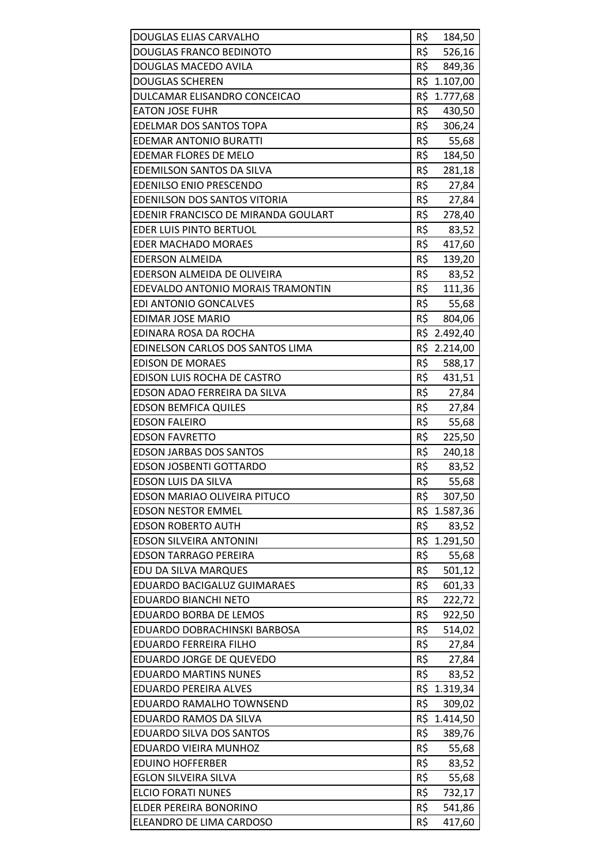| DOUGLAS ELIAS CARVALHO              | R\$ | 184,50       |
|-------------------------------------|-----|--------------|
| DOUGLAS FRANCO BEDINOTO             | R\$ | 526,16       |
| DOUGLAS MACEDO AVILA                | R\$ | 849,36       |
| <b>DOUGLAS SCHEREN</b>              | R\$ | 1.107,00     |
| DULCAMAR ELISANDRO CONCEICAO        |     | R\$ 1.777,68 |
| <b>EATON JOSE FUHR</b>              | R\$ | 430,50       |
| EDELMAR DOS SANTOS TOPA             | R\$ | 306,24       |
| <b>EDEMAR ANTONIO BURATTI</b>       | R\$ | 55,68        |
| EDEMAR FLORES DE MELO               | R\$ | 184,50       |
| EDEMILSON SANTOS DA SILVA           | R\$ | 281,18       |
| <b>EDENILSO ENIO PRESCENDO</b>      | R\$ | 27,84        |
| EDENILSON DOS SANTOS VITORIA        | R\$ | 27,84        |
| EDENIR FRANCISCO DE MIRANDA GOULART | R\$ | 278,40       |
| EDER LUIS PINTO BERTUOL             | R\$ | 83,52        |
| <b>EDER MACHADO MORAES</b>          | R\$ | 417,60       |
| <b>EDERSON ALMEIDA</b>              | R\$ | 139,20       |
| EDERSON ALMEIDA DE OLIVEIRA         | R\$ | 83,52        |
| EDEVALDO ANTONIO MORAIS TRAMONTIN   | R\$ | 111,36       |
| <b>EDI ANTONIO GONCALVES</b>        | R\$ | 55,68        |
| <b>EDIMAR JOSE MARIO</b>            | R\$ | 804,06       |
| EDINARA ROSA DA ROCHA               |     | R\$ 2.492,40 |
| EDINELSON CARLOS DOS SANTOS LIMA    |     | R\$ 2.214,00 |
| <b>EDISON DE MORAES</b>             | R\$ | 588,17       |
| EDISON LUIS ROCHA DE CASTRO         | R\$ | 431,51       |
| EDSON ADAO FERREIRA DA SILVA        | R\$ | 27,84        |
| <b>EDSON BEMFICA QUILES</b>         |     | R\$ 27,84    |
| <b>EDSON FALEIRO</b>                | R\$ | 55,68        |
| <b>EDSON FAVRETTO</b>               | R\$ | 225,50       |
| <b>EDSON JARBAS DOS SANTOS</b>      | R\$ | 240,18       |
| <b>EDSON JOSBENTI GOTTARDO</b>      | R\$ | 83,52        |
| <b>EDSON LUIS DA SILVA</b>          | R\$ | 55,68        |
| EDSON MARIAO OLIVEIRA PITUCO        | R\$ | 307,50       |
| <b>EDSON NESTOR EMMEL</b>           | R\$ | 1.587,36     |
| <b>EDSON ROBERTO AUTH</b>           | R\$ | 83,52        |
| <b>EDSON SILVEIRA ANTONINI</b>      | R\$ | 1.291,50     |
| <b>EDSON TARRAGO PEREIRA</b>        | R\$ | 55,68        |
| EDU DA SILVA MARQUES                | R\$ | 501,12       |
| EDUARDO BACIGALUZ GUIMARAES         | R\$ | 601,33       |
| <b>EDUARDO BIANCHI NETO</b>         | R\$ | 222,72       |
| <b>EDUARDO BORBA DE LEMOS</b>       | R\$ | 922,50       |
| EDUARDO DOBRACHINSKI BARBOSA        | R\$ | 514,02       |
| EDUARDO FERREIRA FILHO              | R\$ | 27,84        |
| EDUARDO JORGE DE QUEVEDO            | R\$ | 27,84        |
| <b>EDUARDO MARTINS NUNES</b>        | R\$ | 83,52        |
| <b>EDUARDO PEREIRA ALVES</b>        | R\$ | 1.319,34     |
| EDUARDO RAMALHO TOWNSEND            | R\$ | 309,02       |
| EDUARDO RAMOS DA SILVA              |     | R\$ 1.414,50 |
| EDUARDO SILVA DOS SANTOS            | R\$ | 389,76       |
| EDUARDO VIEIRA MUNHOZ               | R\$ | 55,68        |
| <b>EDUINO HOFFERBER</b>             | R\$ | 83,52        |
| <b>EGLON SILVEIRA SILVA</b>         | R\$ | 55,68        |
| <b>ELCIO FORATI NUNES</b>           | R\$ | 732,17       |
| ELDER PEREIRA BONORINO              | R\$ | 541,86       |
| ELEANDRO DE LIMA CARDOSO            | R\$ | 417,60       |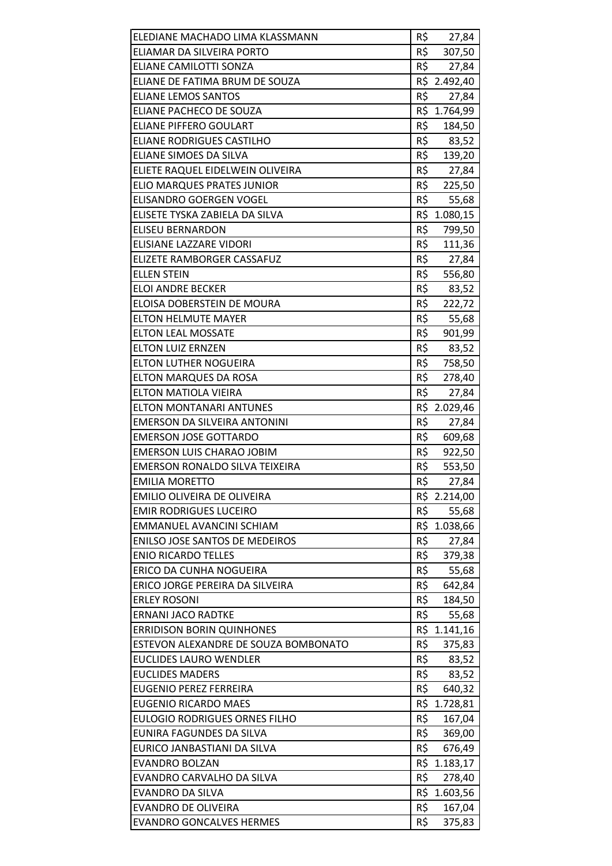| ELEDIANE MACHADO LIMA KLASSMANN                         | R\$        | 27,84                  |
|---------------------------------------------------------|------------|------------------------|
| ELIAMAR DA SILVEIRA PORTO                               | R\$        | 307,50                 |
| ELIANE CAMILOTTI SONZA                                  | R\$        | 27,84                  |
| ELIANE DE FATIMA BRUM DE SOUZA                          | R\$        | 2.492,40               |
| <b>ELIANE LEMOS SANTOS</b>                              | R\$        | 27,84                  |
| ELIANE PACHECO DE SOUZA                                 |            | R\$ 1.764,99           |
| <b>ELIANE PIFFERO GOULART</b>                           | R\$        | 184,50                 |
| <b>ELIANE RODRIGUES CASTILHO</b>                        | R\$        | 83,52                  |
| <b>ELIANE SIMOES DA SILVA</b>                           | R\$        | 139,20                 |
| ELIETE RAQUEL EIDELWEIN OLIVEIRA                        |            | R\$ 27,84              |
| <b>ELIO MARQUES PRATES JUNIOR</b>                       |            | R\$ 225,50             |
| ELISANDRO GOERGEN VOGEL                                 | R\$        | 55,68                  |
| ELISETE TYSKA ZABIELA DA SILVA                          | R\$        | 1.080,15               |
| <b>ELISEU BERNARDON</b>                                 | R\$        | 799,50                 |
| ELISIANE LAZZARE VIDORI                                 | R\$        | 111,36                 |
| ELIZETE RAMBORGER CASSAFUZ                              | R\$        | 27,84                  |
| <b>ELLEN STEIN</b>                                      | R\$        | 556,80                 |
| <b>ELOI ANDRE BECKER</b>                                | R\$        | 83,52                  |
| ELOISA DOBERSTEIN DE MOURA                              | R\$        | 222,72                 |
| <b>ELTON HELMUTE MAYER</b>                              | R\$        | 55,68                  |
| <b>ELTON LEAL MOSSATE</b>                               | R\$        | 901,99                 |
| <b>ELTON LUIZ ERNZEN</b>                                | R\$        | 83,52                  |
| ELTON LUTHER NOGUEIRA                                   | R\$        | 758,50                 |
| <b>ELTON MARQUES DA ROSA</b>                            | R\$        | 278,40                 |
| ELTON MATIOLA VIEIRA                                    | R\$        | 27,84                  |
| <b>ELTON MONTANARI ANTUNES</b>                          |            | R\$ 2.029,46           |
| EMERSON DA SILVEIRA ANTONINI                            | R\$        | 27,84                  |
| <b>EMERSON JOSE GOTTARDO</b>                            | R\$        | 609,68                 |
| <b>EMERSON LUIS CHARAO JOBIM</b>                        | R\$        | 922,50                 |
| <b>EMERSON RONALDO SILVA TEIXEIRA</b>                   | R\$        | 553,50                 |
| <b>EMILIA MORETTO</b>                                   | R\$        | 27,84                  |
| <b>EMILIO OLIVEIRA DE OLIVEIRA</b>                      |            | R\$ 2.214,00           |
| <b>EMIR RODRIGUES LUCEIRO</b>                           | R\$        | 55,68                  |
| EMMANUEL AVANCINI SCHIAM                                | R\$        | 1.038,66               |
| <b>ENILSO JOSE SANTOS DE MEDEIROS</b>                   | R\$        | 27,84                  |
| <b>ENIO RICARDO TELLES</b>                              | R\$        | 379,38                 |
| ERICO DA CUNHA NOGUEIRA                                 | R\$        | 55,68                  |
| ERICO JORGE PEREIRA DA SILVEIRA                         | R\$        | 642,84                 |
| <b>ERLEY ROSONI</b>                                     | R\$        | 184,50                 |
| <b>ERNANI JACO RADTKE</b>                               | R\$        | 55,68                  |
| <b>ERRIDISON BORIN QUINHONES</b>                        | R\$        | 1.141,16               |
| ESTEVON ALEXANDRE DE SOUZA BOMBONATO                    | R\$        | 375,83                 |
| <b>EUCLIDES LAURO WENDLER</b>                           | R\$<br>R\$ | 83,52                  |
| <b>EUCLIDES MADERS</b><br><b>EUGENIO PEREZ FERREIRA</b> | R\$        | 83,52                  |
| <b>EUGENIO RICARDO MAES</b>                             |            | 640,32<br>R\$ 1.728,81 |
| <b>EULOGIO RODRIGUES ORNES FILHO</b>                    | R\$        | 167,04                 |
| EUNIRA FAGUNDES DA SILVA                                | R\$        | 369,00                 |
| EURICO JANBASTIANI DA SILVA                             | R\$        | 676,49                 |
| <b>EVANDRO BOLZAN</b>                                   |            | R\$ 1.183,17           |
| EVANDRO CARVALHO DA SILVA                               | R\$        | 278,40                 |
| <b>EVANDRO DA SILVA</b>                                 |            | R\$ 1.603,56           |
| <b>EVANDRO DE OLIVEIRA</b>                              | R\$        | 167,04                 |
| <b>EVANDRO GONCALVES HERMES</b>                         | R\$        | 375,83                 |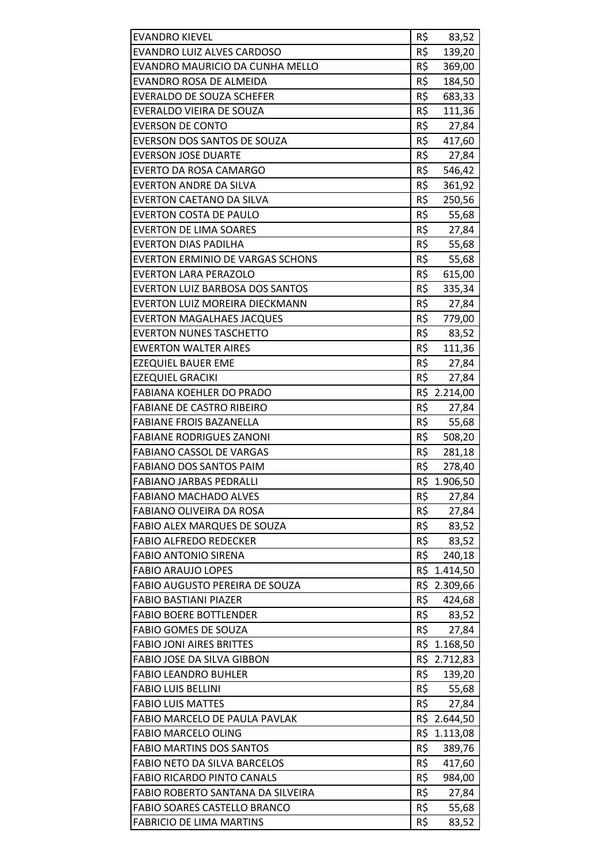| <b>EVANDRO KIEVEL</b>                   | R\$ | 83,52            |
|-----------------------------------------|-----|------------------|
| EVANDRO LUIZ ALVES CARDOSO              | R\$ | 139,20           |
| EVANDRO MAURICIO DA CUNHA MELLO         | R\$ | 369,00           |
| EVANDRO ROSA DE ALMEIDA                 | R\$ | 184,50           |
| <b>EVERALDO DE SOUZA SCHEFER</b>        | R\$ | 683,33           |
| EVERALDO VIEIRA DE SOUZA                | R\$ | 111,36           |
| <b>EVERSON DE CONTO</b>                 | R\$ | 27,84            |
| EVERSON DOS SANTOS DE SOUZA             | R\$ | 417,60           |
| <b>EVERSON JOSE DUARTE</b>              | R\$ | 27,84            |
| <b>EVERTO DA ROSA CAMARGO</b>           | R\$ | 546,42           |
| <b>EVERTON ANDRE DA SILVA</b>           | R\$ | 361,92           |
| EVERTON CAETANO DA SILVA                | R\$ | 250,56           |
| <b>EVERTON COSTA DE PAULO</b>           | R\$ | 55,68            |
| <b>EVERTON DE LIMA SOARES</b>           | R\$ | 27,84            |
| <b>EVERTON DIAS PADILHA</b>             | R\$ | 55,68            |
| <b>EVERTON ERMINIO DE VARGAS SCHONS</b> | R\$ | 55,68            |
| <b>EVERTON LARA PERAZOLO</b>            | R\$ | 615,00           |
| <b>EVERTON LUIZ BARBOSA DOS SANTOS</b>  | R\$ | 335,34           |
| EVERTON LUIZ MOREIRA DIECKMANN          | R\$ | 27,84            |
| <b>EVERTON MAGALHAES JACQUES</b>        | R\$ | 779,00           |
| <b>EVERTON NUNES TASCHETTO</b>          | R\$ | 83,52            |
| <b>EWERTON WALTER AIRES</b>             | R\$ | 111,36           |
| <b>EZEQUIEL BAUER EME</b>               | R\$ | 27,84            |
| <b>EZEQUIEL GRACIKI</b>                 | R\$ | 27,84            |
| <b>FABIANA KOEHLER DO PRADO</b>         |     | R\$ 2.214,00     |
| <b>FABIANE DE CASTRO RIBEIRO</b>        | R\$ | 27,84            |
| <b>FABIANE FROIS BAZANELLA</b>          | R\$ | 55,68            |
| <b>FABIANE RODRIGUES ZANONI</b>         | R\$ | 508,20           |
| <b>FABIANO CASSOL DE VARGAS</b>         | R\$ | 281,18           |
| <b>FABIANO DOS SANTOS PAIM</b>          | R\$ | 278,40           |
| <b>FABIANO JARBAS PEDRALLI</b>          |     | R\$ 1.906,50     |
| <b>FABIANO MACHADO ALVES</b>            | R\$ | 27,84            |
| FABIANO OLIVEIRA DA ROSA                | R\$ | 27,84            |
| <b>FABIO ALEX MARQUES DE SOUZA</b>      | R\$ | 83,52            |
| <b>FABIO ALFREDO REDECKER</b>           | R\$ | 83,52            |
| <b>FABIO ANTONIO SIRENA</b>             | R\$ | 240,18           |
| <b>FABIO ARAUJO LOPES</b>               |     | R\$ 1.414,50     |
| FABIO AUGUSTO PEREIRA DE SOUZA          |     | R\$ 2.309,66     |
| <b>FABIO BASTIANI PIAZER</b>            | R\$ | 424,68           |
| <b>FABIO BOERE BOTTLENDER</b>           | R\$ | 83,52            |
| <b>FABIO GOMES DE SOUZA</b>             | R\$ | 27,84            |
| <b>FABIO JONI AIRES BRITTES</b>         |     | R\$ 1.168,50     |
| FABIO JOSE DA SILVA GIBBON              |     | R\$ 2.712,83     |
| <b>FABIO LEANDRO BUHLER</b>             | R\$ | 139,20           |
| <b>FABIO LUIS BELLINI</b>               | R\$ | 55,68            |
| <b>FABIO LUIS MATTES</b>                | R\$ | 27,84            |
| FABIO MARCELO DE PAULA PAVLAK           |     | R\$ 2.644,50     |
| <b>FABIO MARCELO OLING</b>              |     | R\$ 1.113,08     |
| <b>FABIO MARTINS DOS SANTOS</b>         | R\$ |                  |
| <b>FABIO NETO DA SILVA BARCELOS</b>     | R\$ | 389,76           |
| <b>FABIO RICARDO PINTO CANALS</b>       | R\$ | 417,60<br>984,00 |
| FABIO ROBERTO SANTANA DA SILVEIRA       | R\$ |                  |
| <b>FABIO SOARES CASTELLO BRANCO</b>     | R\$ | 27,84<br>55,68   |
| <b>FABRICIO DE LIMA MARTINS</b>         | R\$ | 83,52            |
|                                         |     |                  |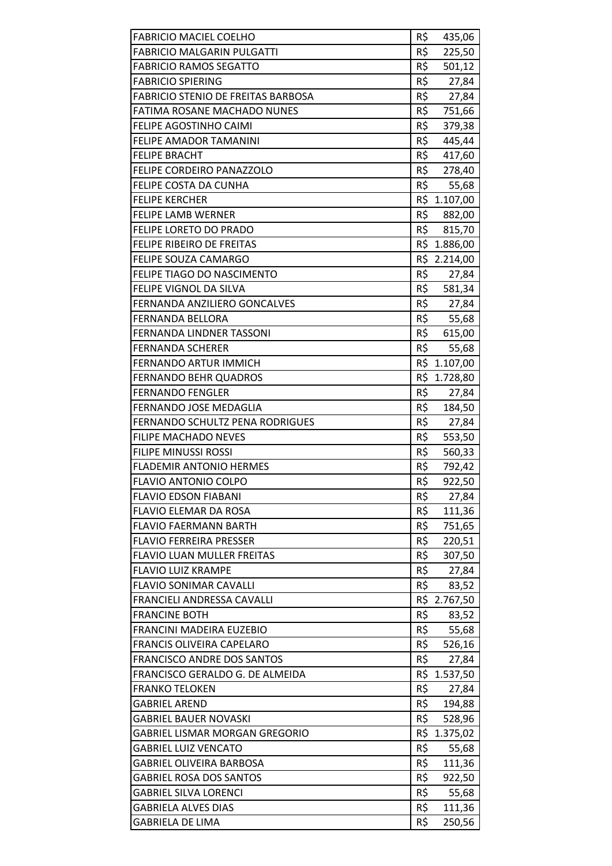| <b>FABRICIO MACIEL COELHO</b>                         | R\$        | 435,06           |
|-------------------------------------------------------|------------|------------------|
| <b>FABRICIO MALGARIN PULGATTI</b>                     | R\$        | 225,50           |
| <b>FABRICIO RAMOS SEGATTO</b>                         | R\$        | 501,12           |
| <b>FABRICIO SPIERING</b>                              | R\$        |                  |
| <b>FABRICIO STENIO DE FREITAS BARBOSA</b>             | R\$        | 27,84            |
|                                                       | R\$        | 27,84            |
| FATIMA ROSANE MACHADO NUNES                           | R\$        | 751,66           |
| FELIPE AGOSTINHO CAIMI                                |            | 379,38           |
| FELIPE AMADOR TAMANINI                                | R\$        | 445,44           |
| <b>FELIPE BRACHT</b>                                  | R\$        | 417,60           |
| <b>FELIPE CORDEIRO PANAZZOLO</b>                      | R\$        | 278,40           |
| FELIPE COSTA DA CUNHA                                 | R\$        | 55,68            |
| <b>FELIPE KERCHER</b>                                 |            | R\$ 1.107,00     |
| <b>FELIPE LAMB WERNER</b>                             | R\$        | 882,00           |
| FELIPE LORETO DO PRADO                                | R\$        | 815,70           |
| <b>FELIPE RIBEIRO DE FREITAS</b>                      |            | R\$ 1.886,00     |
| FELIPE SOUZA CAMARGO                                  |            | R\$ 2.214,00     |
| FELIPE TIAGO DO NASCIMENTO                            | R\$        | 27,84            |
| <b>FELIPE VIGNOL DA SILVA</b>                         | R\$        | 581,34           |
| FERNANDA ANZILIERO GONCALVES                          | R\$        | 27,84            |
| <b>FERNANDA BELLORA</b>                               | R\$        | 55,68            |
| FERNANDA LINDNER TASSONI                              |            | R\$ 615,00       |
| <b>FERNANDA SCHERER</b>                               | R\$        | 55,68            |
| FERNANDO ARTUR IMMICH                                 |            | R\$ 1.107,00     |
| <b>FERNANDO BEHR QUADROS</b>                          |            | R\$ 1.728,80     |
| <b>FERNANDO FENGLER</b>                               | R\$        | 27,84            |
| FERNANDO JOSE MEDAGLIA                                | R\$        | 184,50           |
| <b>FERNANDO SCHULTZ PENA RODRIGUES</b>                | R\$        | 27,84            |
| <b>FILIPE MACHADO NEVES</b>                           | R\$        | 553,50           |
| <b>FILIPE MINUSSI ROSSI</b>                           | R\$        | 560,33           |
| <b>FLADEMIR ANTONIO HERMES</b>                        | R\$        | 792,42           |
| <b>FLAVIO ANTONIO COLPO</b>                           | R\$        | 922,50           |
| <b>FLAVIO EDSON FIABANI</b>                           | R\$        | 27,84            |
| FLAVIO ELEMAR DA ROSA                                 | R\$        | 111,36           |
| <b>FLAVIO FAERMANN BARTH</b>                          | R\$        | 751,65           |
| <b>FLAVIO FERREIRA PRESSER</b>                        | R\$        | 220,51           |
| <b>FLAVIO LUAN MULLER FREITAS</b>                     | R\$        | 307,50           |
| <b>FLAVIO LUIZ KRAMPE</b>                             | R\$        | 27,84            |
|                                                       |            | 83,52            |
| <b>FLAVIO SONIMAR CAVALLI</b>                         | R\$        |                  |
| <b>FRANCIELI ANDRESSA CAVALLI</b>                     |            | R\$ 2.767,50     |
| <b>FRANCINE BOTH</b>                                  | R\$        | 83,52            |
| FRANCINI MADEIRA EUZEBIO                              | R\$        | 55,68            |
| <b>FRANCIS OLIVEIRA CAPELARO</b>                      | R\$        |                  |
| <b>FRANCISCO ANDRE DOS SANTOS</b>                     | R\$        | 526,16           |
| FRANCISCO GERALDO G. DE ALMEIDA                       |            | 27,84            |
| <b>FRANKO TELOKEN</b>                                 |            | R\$ 1.537,50     |
| <b>GABRIEL AREND</b>                                  | R\$<br>R\$ | 27,84            |
| GABRIEL BAUER NOVASKI                                 | R\$        | 194,88           |
| GABRIEL LISMAR MORGAN GREGORIO                        |            | 528,96           |
| <b>GABRIEL LUIZ VENCATO</b>                           | R\$        | R\$ 1.375,02     |
| GABRIEL OLIVEIRA BARBOSA                              |            | 55,68            |
|                                                       | R\$        | 111,36           |
| <b>GABRIEL ROSA DOS SANTOS</b>                        | R\$        | 922,50           |
| GABRIEL SILVA LORENCI                                 | R\$        | 55,68            |
| <b>GABRIELA ALVES DIAS</b><br><b>GABRIELA DE LIMA</b> | R\$<br>R\$ | 111,36<br>250,56 |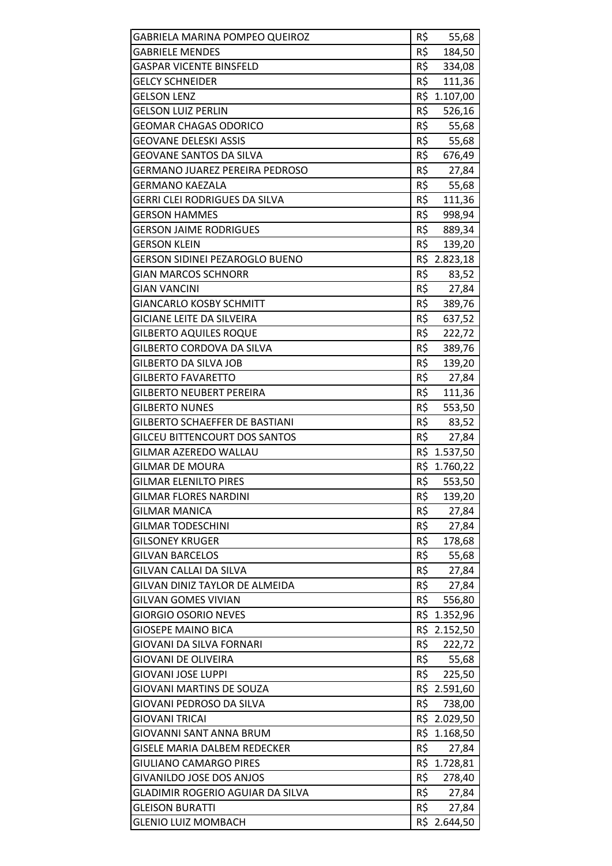| <b>GABRIELA MARINA POMPEO QUEIROZ</b>   | R\$ | 55,68        |
|-----------------------------------------|-----|--------------|
| <b>GABRIELE MENDES</b>                  | R\$ | 184,50       |
| <b>GASPAR VICENTE BINSFELD</b>          | R\$ | 334,08       |
| <b>GELCY SCHNEIDER</b>                  | R\$ | 111,36       |
| <b>GELSON LENZ</b>                      |     | R\$ 1.107,00 |
| <b>GELSON LUIZ PERLIN</b>               | R\$ | 526,16       |
| <b>GEOMAR CHAGAS ODORICO</b>            | R\$ | 55,68        |
| <b>GEOVANE DELESKI ASSIS</b>            | R\$ | 55,68        |
| <b>GEOVANE SANTOS DA SILVA</b>          | R\$ | 676,49       |
| <b>GERMANO JUAREZ PEREIRA PEDROSO</b>   | R\$ | 27,84        |
| <b>GERMANO KAEZALA</b>                  | R\$ | 55,68        |
| <b>GERRI CLEI RODRIGUES DA SILVA</b>    | R\$ | 111,36       |
| <b>GERSON HAMMES</b>                    | R\$ | 998,94       |
| <b>GERSON JAIME RODRIGUES</b>           | R\$ | 889,34       |
| <b>GERSON KLEIN</b>                     | R\$ | 139,20       |
| <b>GERSON SIDINEI PEZAROGLO BUENO</b>   |     | R\$ 2.823,18 |
| <b>GIAN MARCOS SCHNORR</b>              | R\$ | 83,52        |
| <b>GIAN VANCINI</b>                     | R\$ | 27,84        |
| <b>GIANCARLO KOSBY SCHMITT</b>          | R\$ | 389,76       |
| <b>GICIANE LEITE DA SILVEIRA</b>        | R\$ | 637,52       |
| <b>GILBERTO AQUILES ROQUE</b>           | R\$ | 222,72       |
| GILBERTO CORDOVA DA SILVA               | R\$ | 389,76       |
| <b>GILBERTO DA SILVA JOB</b>            | R\$ | 139,20       |
| <b>GILBERTO FAVARETTO</b>               | R\$ | 27,84        |
| <b>GILBERTO NEUBERT PEREIRA</b>         | R\$ | 111,36       |
| <b>GILBERTO NUNES</b>                   | R\$ | 553,50       |
| <b>GILBERTO SCHAEFFER DE BASTIANI</b>   | R\$ | 83,52        |
| <b>GILCEU BITTENCOURT DOS SANTOS</b>    | R\$ | 27,84        |
| <b>GILMAR AZEREDO WALLAU</b>            |     | R\$ 1.537,50 |
| <b>GILMAR DE MOURA</b>                  |     | R\$ 1.760,22 |
| <b>GILMAR ELENILTO PIRES</b>            | R\$ | 553,50       |
| <b>GILMAR FLORES NARDINI</b>            | R\$ | 139,20       |
| <b>GILMAR MANICA</b>                    | R\$ | 27,84        |
| <b>GILMAR TODESCHINI</b>                | R\$ | 27,84        |
| <b>GILSONEY KRUGER</b>                  | R\$ | 178,68       |
| <b>GILVAN BARCELOS</b>                  | R\$ | 55,68        |
| GILVAN CALLAI DA SILVA                  | R\$ | 27,84        |
| GILVAN DINIZ TAYLOR DE ALMEIDA          | R\$ | 27,84        |
| <b>GILVAN GOMES VIVIAN</b>              | R\$ | 556,80       |
| <b>GIORGIO OSORIO NEVES</b>             |     | R\$ 1.352,96 |
| <b>GIOSEPE MAINO BICA</b>               |     | R\$ 2.152,50 |
| GIOVANI DA SILVA FORNARI                | R\$ | 222,72       |
| <b>GIOVANI DE OLIVEIRA</b>              | R\$ | 55,68        |
| <b>GIOVANI JOSE LUPPI</b>               | R\$ | 225,50       |
| <b>GIOVANI MARTINS DE SOUZA</b>         |     | R\$ 2.591,60 |
| GIOVANI PEDROSO DA SILVA                | R\$ | 738,00       |
| GIOVANI TRICAI                          |     | R\$ 2.029,50 |
| <b>GIOVANNI SANT ANNA BRUM</b>          |     | R\$ 1.168,50 |
| <b>GISELE MARIA DALBEM REDECKER</b>     | R\$ | 27,84        |
| <b>GIULIANO CAMARGO PIRES</b>           | R\$ | 1.728,81     |
| <b>GIVANILDO JOSE DOS ANJOS</b>         | R\$ | 278,40       |
| <b>GLADIMIR ROGERIO AGUIAR DA SILVA</b> | R\$ | 27,84        |
| <b>GLEISON BURATTI</b>                  | R\$ | 27,84        |
| <b>GLENIO LUIZ MOMBACH</b>              | R\$ | 2.644,50     |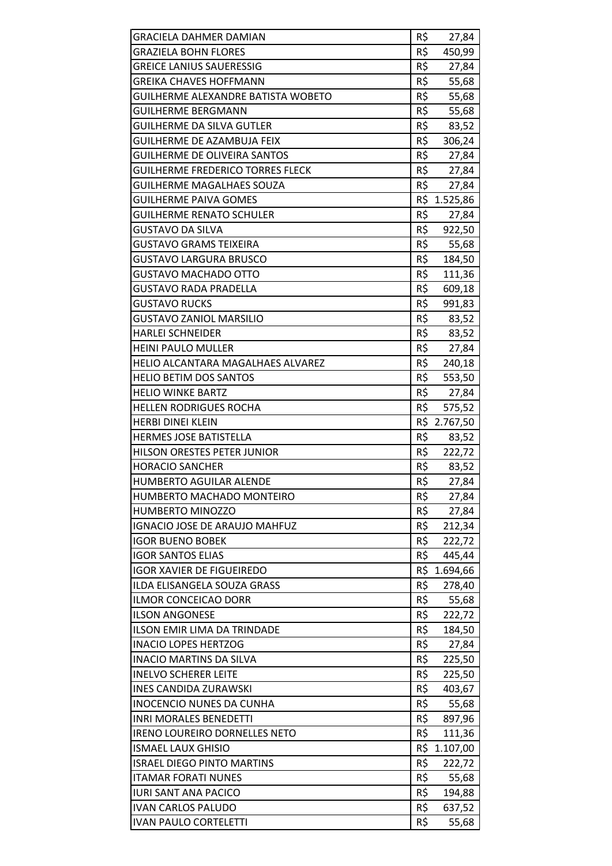| <b>GRACIELA DAHMER DAMIAN</b>             | R\$ | 27,84        |
|-------------------------------------------|-----|--------------|
| <b>GRAZIELA BOHN FLORES</b>               | R\$ | 450,99       |
| <b>GREICE LANIUS SAUERESSIG</b>           | R\$ | 27,84        |
| <b>GREIKA CHAVES HOFFMANN</b>             | R\$ | 55,68        |
| <b>GUILHERME ALEXANDRE BATISTA WOBETO</b> | R\$ | 55,68        |
| <b>GUILHERME BERGMANN</b>                 | R\$ | 55,68        |
| <b>GUILHERME DA SILVA GUTLER</b>          | R\$ | 83,52        |
| <b>GUILHERME DE AZAMBUJA FEIX</b>         | R\$ | 306,24       |
| <b>GUILHERME DE OLIVEIRA SANTOS</b>       | R\$ | 27,84        |
| <b>GUILHERME FREDERICO TORRES FLECK</b>   | R\$ | 27,84        |
| <b>GUILHERME MAGALHAES SOUZA</b>          | R\$ | 27,84        |
| <b>GUILHERME PAIVA GOMES</b>              |     | R\$ 1.525,86 |
| <b>GUILHERME RENATO SCHULER</b>           | R\$ | 27,84        |
| <b>GUSTAVO DA SILVA</b>                   | R\$ | 922,50       |
| <b>GUSTAVO GRAMS TEIXEIRA</b>             | R\$ | 55,68        |
| <b>GUSTAVO LARGURA BRUSCO</b>             | R\$ | 184,50       |
| <b>GUSTAVO MACHADO OTTO</b>               | R\$ | 111,36       |
| <b>GUSTAVO RADA PRADELLA</b>              | R\$ | 609,18       |
| <b>GUSTAVO RUCKS</b>                      | R\$ | 991,83       |
| <b>GUSTAVO ZANIOL MARSILIO</b>            | R\$ | 83,52        |
| <b>HARLEI SCHNEIDER</b>                   | R\$ | 83,52        |
| <b>HEINI PAULO MULLER</b>                 | R\$ | 27,84        |
| HELIO ALCANTARA MAGALHAES ALVAREZ         | R\$ | 240,18       |
| <b>HELIO BETIM DOS SANTOS</b>             | R\$ | 553,50       |
| <b>HELIO WINKE BARTZ</b>                  | R\$ | 27,84        |
| <b>HELLEN RODRIGUES ROCHA</b>             | R\$ | 575,52       |
| <b>HERBI DINEI KLEIN</b>                  |     | R\$ 2.767,50 |
| <b>HERMES JOSE BATISTELLA</b>             | R\$ | 83,52        |
| HILSON ORESTES PETER JUNIOR               | R\$ | 222,72       |
| <b>HORACIO SANCHER</b>                    | R\$ | 83,52        |
| <b>HUMBERTO AGUILAR ALENDE</b>            | R\$ | 27,84        |
| HUMBERTO MACHADO MONTEIRO                 | R\$ | 27,84        |
| <b>HUMBERTO MINOZZO</b>                   | R\$ | 27,84        |
| IGNACIO JOSE DE ARAUJO MAHFUZ             | R\$ | 212,34       |
| <b>IGOR BUENO BOBEK</b>                   | R\$ | 222,72       |
| <b>IGOR SANTOS ELIAS</b>                  | R\$ | 445,44       |
| <b>IGOR XAVIER DE FIGUEIREDO</b>          | R\$ | 1.694,66     |
| ILDA ELISANGELA SOUZA GRASS               | R\$ | 278,40       |
| ILMOR CONCEICAO DORR                      | R\$ | 55,68        |
| <b>ILSON ANGONESE</b>                     | R\$ | 222,72       |
| ILSON EMIR LIMA DA TRINDADE               | R\$ | 184,50       |
| <b>INACIO LOPES HERTZOG</b>               | R\$ | 27,84        |
| <b>INACIO MARTINS DA SILVA</b>            | R\$ | 225,50       |
| <b>INELVO SCHERER LEITE</b>               | R\$ | 225,50       |
| <b>INES CANDIDA ZURAWSKI</b>              | R\$ | 403,67       |
| <b>INOCENCIO NUNES DA CUNHA</b>           | R\$ | 55,68        |
| <b>INRI MORALES BENEDETTI</b>             | R\$ | 897,96       |
| <b>IRENO LOUREIRO DORNELLES NETO</b>      | R\$ | 111,36       |
| <b>ISMAEL LAUX GHISIO</b>                 | R\$ | 1.107,00     |
| <b>ISRAEL DIEGO PINTO MARTINS</b>         | R\$ | 222,72       |
| <b>ITAMAR FORATI NUNES</b>                | R\$ | 55,68        |
| <b>IURI SANT ANA PACICO</b>               | R\$ | 194,88       |
| <b>IVAN CARLOS PALUDO</b>                 | R\$ | 637,52       |
| <b>IVAN PAULO CORTELETTI</b>              | R\$ | 55,68        |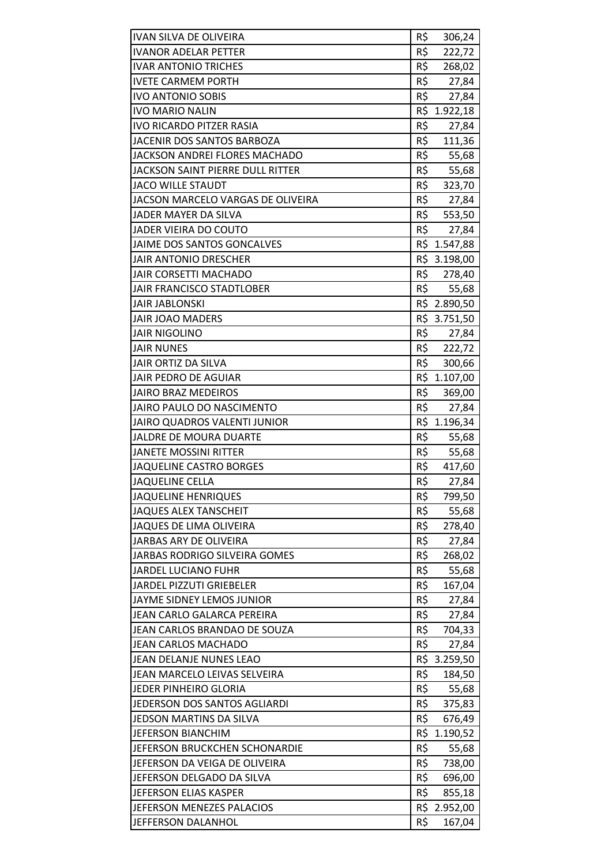| <b>IVAN SILVA DE OLIVEIRA</b>           | R\$ | 306,24       |
|-----------------------------------------|-----|--------------|
| <b>IVANOR ADELAR PETTER</b>             | R\$ | 222,72       |
| <b>IVAR ANTONIO TRICHES</b>             | R\$ | 268,02       |
| <b>IVETE CARMEM PORTH</b>               | R\$ | 27,84        |
| <b>IVO ANTONIO SOBIS</b>                | R\$ | 27,84        |
| <b>IVO MARIO NALIN</b>                  |     | R\$ 1.922,18 |
| <b>IVO RICARDO PITZER RASIA</b>         | R\$ | 27,84        |
| JACENIR DOS SANTOS BARBOZA              | R\$ | 111,36       |
| JACKSON ANDREI FLORES MACHADO           | R\$ | 55,68        |
| <b>JACKSON SAINT PIERRE DULL RITTER</b> | R\$ | 55,68        |
| <b>JACO WILLE STAUDT</b>                | R\$ | 323,70       |
| JACSON MARCELO VARGAS DE OLIVEIRA       | R\$ | 27,84        |
| JADER MAYER DA SILVA                    | R\$ | 553,50       |
| JADER VIEIRA DO COUTO                   | R\$ | 27,84        |
| <b>JAIME DOS SANTOS GONCALVES</b>       |     | R\$ 1.547,88 |
| JAIR ANTONIO DRESCHER                   |     | R\$ 3.198,00 |
| JAIR CORSETTI MACHADO                   | R\$ | 278,40       |
| JAIR FRANCISCO STADTLOBER               | R\$ | 55,68        |
| <b>JAIR JABLONSKI</b>                   |     | R\$ 2.890,50 |
| <b>JAIR JOAO MADERS</b>                 |     | R\$ 3.751,50 |
| <b>JAIR NIGOLINO</b>                    | R\$ | 27,84        |
| <b>JAIR NUNES</b>                       | R\$ | 222,72       |
| JAIR ORTIZ DA SILVA                     | R\$ | 300,66       |
| JAIR PEDRO DE AGUIAR                    |     | R\$ 1.107,00 |
| <b>JAIRO BRAZ MEDEIROS</b>              | R\$ | 369,00       |
| JAIRO PAULO DO NASCIMENTO               | R\$ | 27,84        |
| JAIRO QUADROS VALENTI JUNIOR            |     | R\$ 1.196,34 |
| JALDRE DE MOURA DUARTE                  | R\$ | 55,68        |
| <b>JANETE MOSSINI RITTER</b>            | R\$ | 55,68        |
| <b>JAQUELINE CASTRO BORGES</b>          | R\$ | 417,60       |
| <b>JAQUELINE CELLA</b>                  | R\$ | 27,84        |
| <b>JAQUELINE HENRIQUES</b>              | R\$ | 799,50       |
| <b>JAQUES ALEX TANSCHEIT</b>            | R\$ | 55,68        |
| JAQUES DE LIMA OLIVEIRA                 | R\$ | 278,40       |
| JARBAS ARY DE OLIVEIRA                  | R\$ | 27,84        |
| JARBAS RODRIGO SILVEIRA GOMES           | R\$ | 268,02       |
| <b>JARDEL LUCIANO FUHR</b>              | R\$ | 55,68        |
| <b>JARDEL PIZZUTI GRIEBELER</b>         | R\$ | 167,04       |
| JAYME SIDNEY LEMOS JUNIOR               | R\$ | 27,84        |
| JEAN CARLO GALARCA PEREIRA              | R\$ | 27,84        |
| JEAN CARLOS BRANDAO DE SOUZA            | R\$ | 704,33       |
| JEAN CARLOS MACHADO                     | R\$ | 27,84        |
| JEAN DELANJE NUNES LEAO                 |     | R\$ 3.259,50 |
| JEAN MARCELO LEIVAS SELVEIRA            | R\$ | 184,50       |
| JEDER PINHEIRO GLORIA                   | R\$ | 55,68        |
| JEDERSON DOS SANTOS AGLIARDI            | R\$ | 375,83       |
| JEDSON MARTINS DA SILVA                 | R\$ | 676,49       |
| <b>JEFERSON BIANCHIM</b>                |     | R\$ 1.190,52 |
| JEFERSON BRUCKCHEN SCHONARDIE           | R\$ | 55,68        |
| JEFERSON DA VEIGA DE OLIVEIRA           | R\$ | 738,00       |
| JEFERSON DELGADO DA SILVA               | R\$ | 696,00       |
| JEFERSON ELIAS KASPER                   | R\$ | 855,18       |
| JEFERSON MENEZES PALACIOS               |     | R\$ 2.952,00 |
| JEFFERSON DALANHOL                      | R\$ | 167,04       |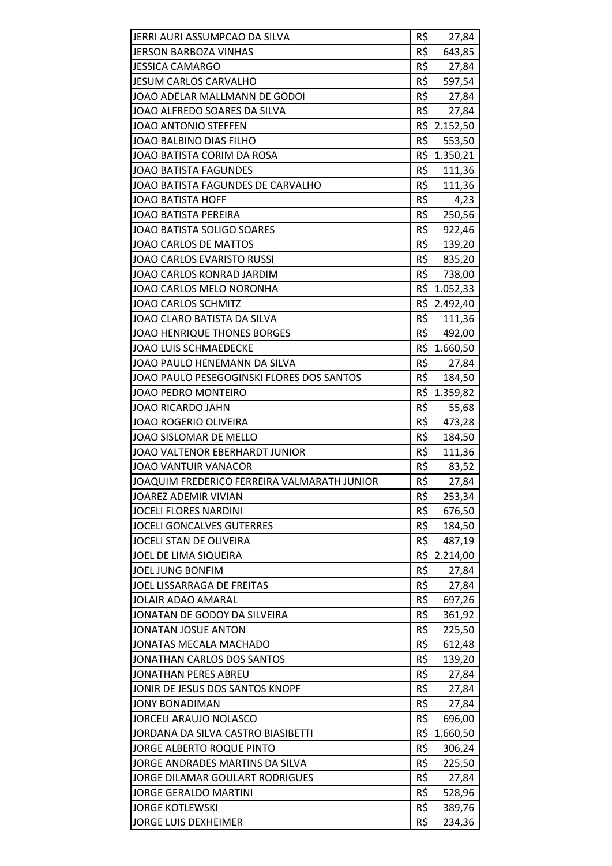| JERRI AURI ASSUMPCAO DA SILVA               | R\$        | 27,84            |
|---------------------------------------------|------------|------------------|
| <b>JERSON BARBOZA VINHAS</b>                | R\$        | 643,85           |
| <b>JESSICA CAMARGO</b>                      | R\$        | 27,84            |
| <b>JESUM CARLOS CARVALHO</b>                | R\$        | 597,54           |
| JOAO ADELAR MALLMANN DE GODOI               | R\$        | 27,84            |
| JOAO ALFREDO SOARES DA SILVA                | R\$        | 27,84            |
| JOAO ANTONIO STEFFEN                        |            | R\$ 2.152,50     |
| <b>JOAO BALBINO DIAS FILHO</b>              | R\$        | 553,50           |
| JOAO BATISTA CORIM DA ROSA                  | R\$        | 1.350,21         |
| <b>JOAO BATISTA FAGUNDES</b>                | R\$        | 111,36           |
| JOAO BATISTA FAGUNDES DE CARVALHO           |            | R\$ 111,36       |
| <b>JOAO BATISTA HOFF</b>                    | R\$        | 4,23             |
| <b>JOAO BATISTA PEREIRA</b>                 | R\$        | 250,56           |
| JOAO BATISTA SOLIGO SOARES                  | R\$        | 922,46           |
| <b>JOAO CARLOS DE MATTOS</b>                | R\$        | 139,20           |
| <b>JOAO CARLOS EVARISTO RUSSI</b>           |            | R\$ 835,20       |
| JOAO CARLOS KONRAD JARDIM                   | R\$        | 738,00           |
| JOAO CARLOS MELO NORONHA                    | R\$        | 1.052,33         |
| <b>JOAO CARLOS SCHMITZ</b>                  | R\$        | 2.492,40         |
| JOAO CLARO BATISTA DA SILVA                 | R\$        | 111,36           |
| <b>JOAO HENRIQUE THONES BORGES</b>          |            | R\$ 492,00       |
| <b>JOAO LUIS SCHMAEDECKE</b>                |            | R\$ 1.660,50     |
| JOAO PAULO HENEMANN DA SILVA                | R\$        | 27,84            |
| JOAO PAULO PESEGOGINSKI FLORES DOS SANTOS   | R\$        | 184,50           |
| JOAO PEDRO MONTEIRO                         |            | R\$ 1.359,82     |
| JOAO RICARDO JAHN                           | R\$        | 55,68            |
| <b>JOAO ROGERIO OLIVEIRA</b>                | R\$        | 473,28           |
| JOAO SISLOMAR DE MELLO                      | R\$        | 184,50           |
| JOAO VALTENOR EBERHARDT JUNIOR              | R\$        | 111,36           |
| <b>JOAO VANTUIR VANACOR</b>                 | R\$        | 83,52            |
| JOAQUIM FREDERICO FERREIRA VALMARATH JUNIOR | R\$        | 27,84            |
| JOAREZ ADEMIR VIVIAN                        | R\$        | 253,34           |
| <b>JOCELI FLORES NARDINI</b>                | R\$        | 676,50           |
| <b>JOCELI GONCALVES GUTERRES</b>            | R\$        | 184,50           |
| JOCELI STAN DE OLIVEIRA                     | R\$        | 487,19           |
| JOEL DE LIMA SIQUEIRA                       |            | R\$ 2.214,00     |
| JOEL JUNG BONFIM                            | R\$        | 27,84            |
| JOEL LISSARRAGA DE FREITAS                  | R\$        | 27,84            |
| <b>JOLAIR ADAO AMARAL</b>                   | R\$        | 697,26           |
| JONATAN DE GODOY DA SILVEIRA                | R\$        | 361,92           |
| <b>JONATAN JOSUE ANTON</b>                  | R\$        | 225,50           |
| JONATAS MECALA MACHADO                      | R\$        | 612,48           |
| JONATHAN CARLOS DOS SANTOS                  | R\$        | 139,20           |
| <b>JONATHAN PERES ABREU</b>                 | R\$        | 27,84            |
| JONIR DE JESUS DOS SANTOS KNOPF             | R\$        | 27,84            |
| <b>JONY BONADIMAN</b>                       | R\$        | 27,84            |
| <b>JORCELI ARAUJO NOLASCO</b>               | R\$        | 696,00           |
| JORDANA DA SILVA CASTRO BIASIBETTI          | R\$        | 1.660,50         |
| JORGE ALBERTO ROQUE PINTO                   | R\$        | 306,24           |
| JORGE ANDRADES MARTINS DA SILVA             | R\$        | 225,50           |
| JORGE DILAMAR GOULART RODRIGUES             | R\$        | 27,84            |
| <b>JORGE GERALDO MARTINI</b>                | R\$        | 528,96           |
| <b>JORGE KOTLEWSKI</b>                      |            |                  |
| JORGE LUIS DEXHEIMER                        | R\$<br>R\$ | 389,76<br>234,36 |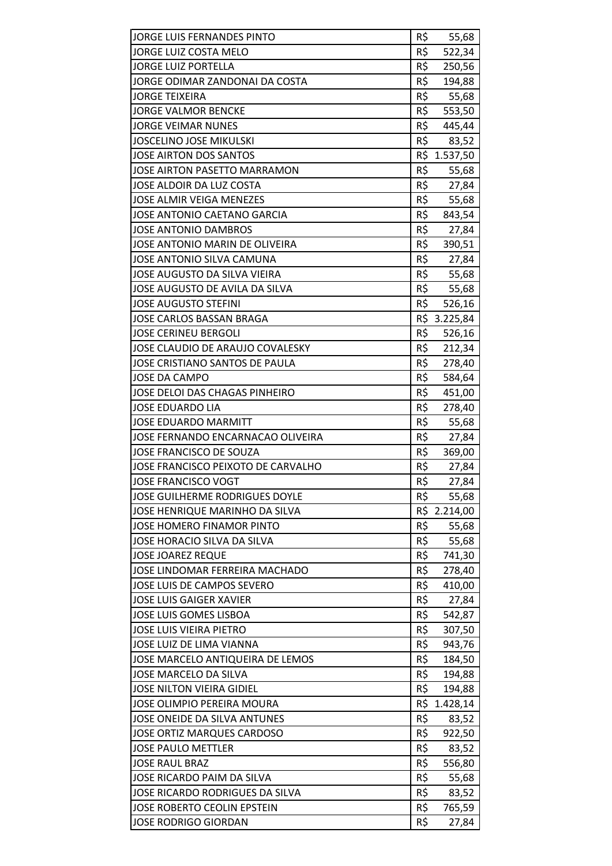| JORGE LUIS FERNANDES PINTO          | R\$ | 55,68        |
|-------------------------------------|-----|--------------|
| JORGE LUIZ COSTA MELO               | R\$ | 522,34       |
| <b>JORGE LUIZ PORTELLA</b>          | R\$ | 250,56       |
| JORGE ODIMAR ZANDONAI DA COSTA      | R\$ | 194,88       |
| <b>JORGE TEIXEIRA</b>               | R\$ | 55,68        |
| <b>JORGE VALMOR BENCKE</b>          | R\$ | 553,50       |
| <b>JORGE VEIMAR NUNES</b>           | R\$ | 445,44       |
| <b>JOSCELINO JOSE MIKULSKI</b>      | R\$ | 83,52        |
| <b>JOSE AIRTON DOS SANTOS</b>       | R\$ | 1.537,50     |
| <b>JOSE AIRTON PASETTO MARRAMON</b> | R\$ | 55,68        |
| JOSE ALDOIR DA LUZ COSTA            |     | R\$ 27,84    |
| <b>JOSE ALMIR VEIGA MENEZES</b>     | R\$ | 55,68        |
| JOSE ANTONIO CAETANO GARCIA         | R\$ | 843,54       |
| <b>JOSE ANTONIO DAMBROS</b>         | R\$ | 27,84        |
| JOSE ANTONIO MARIN DE OLIVEIRA      | R\$ | 390,51       |
| JOSE ANTONIO SILVA CAMUNA           | R\$ | 27,84        |
| JOSE AUGUSTO DA SILVA VIEIRA        | R\$ | 55,68        |
| JOSE AUGUSTO DE AVILA DA SILVA      | R\$ | 55,68        |
| <b>JOSE AUGUSTO STEFINI</b>         | R\$ | 526,16       |
| JOSE CARLOS BASSAN BRAGA            |     | R\$ 3.225,84 |
| <b>JOSE CERINEU BERGOLI</b>         | R\$ | 526,16       |
| JOSE CLAUDIO DE ARAUJO COVALESKY    | R\$ | 212,34       |
| JOSE CRISTIANO SANTOS DE PAULA      | R\$ | 278,40       |
| <b>JOSE DA CAMPO</b>                | R\$ | 584,64       |
| JOSE DELOI DAS CHAGAS PINHEIRO      | R\$ | 451,00       |
| <b>JOSE EDUARDO LIA</b>             | R\$ | 278,40       |
| <b>JOSE EDUARDO MARMITT</b>         | R\$ | 55,68        |
| JOSE FERNANDO ENCARNACAO OLIVEIRA   | R\$ | 27,84        |
| JOSE FRANCISCO DE SOUZA             | R\$ | 369,00       |
| JOSE FRANCISCO PEIXOTO DE CARVALHO  | R\$ | 27,84        |
| <b>JOSE FRANCISCO VOGT</b>          | R\$ | 27,84        |
| JOSE GUILHERME RODRIGUES DOYLE      | R\$ | 55,68        |
| JOSE HENRIQUE MARINHO DA SILVA      | R\$ | 2.214,00     |
| <b>JOSE HOMERO FINAMOR PINTO</b>    | R\$ | 55,68        |
| JOSE HORACIO SILVA DA SILVA         | R\$ | 55,68        |
| <b>JOSE JOAREZ REQUE</b>            | R\$ | 741,30       |
| JOSE LINDOMAR FERREIRA MACHADO      | R\$ | 278,40       |
| JOSE LUIS DE CAMPOS SEVERO          | R\$ | 410,00       |
| <b>JOSE LUIS GAIGER XAVIER</b>      | R\$ | 27,84        |
| <b>JOSE LUIS GOMES LISBOA</b>       | R\$ | 542,87       |
| <b>JOSE LUIS VIEIRA PIETRO</b>      | R\$ | 307,50       |
| JOSE LUIZ DE LIMA VIANNA            | R\$ | 943,76       |
| JOSE MARCELO ANTIQUEIRA DE LEMOS    | R\$ | 184,50       |
| JOSE MARCELO DA SILVA               | R\$ | 194,88       |
| JOSE NILTON VIEIRA GIDIEL           | R\$ | 194,88       |
| JOSE OLIMPIO PEREIRA MOURA          | R\$ | 1.428,14     |
| JOSE ONEIDE DA SILVA ANTUNES        | R\$ | 83,52        |
| <b>JOSE ORTIZ MARQUES CARDOSO</b>   | R\$ | 922,50       |
| <b>JOSE PAULO METTLER</b>           | R\$ | 83,52        |
| <b>JOSE RAUL BRAZ</b>               | R\$ | 556,80       |
| JOSE RICARDO PAIM DA SILVA          | R\$ | 55,68        |
| JOSE RICARDO RODRIGUES DA SILVA     | R\$ | 83,52        |
| JOSE ROBERTO CEOLIN EPSTEIN         | R\$ | 765,59       |
| JOSE RODRIGO GIORDAN                | R\$ | 27,84        |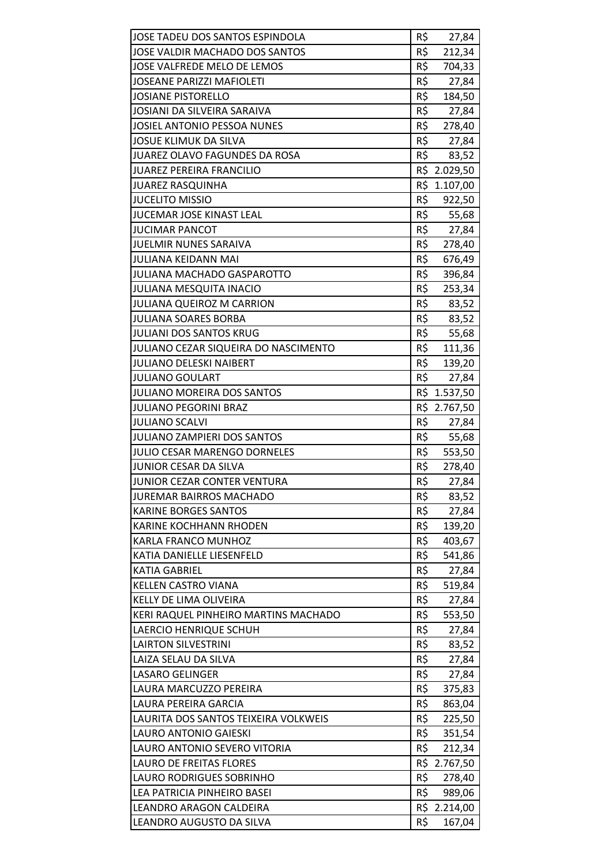| JOSE TADEU DOS SANTOS ESPINDOLA      | R\$ | 27,84                  |
|--------------------------------------|-----|------------------------|
| JOSE VALDIR MACHADO DOS SANTOS       | R\$ | 212,34                 |
| JOSE VALFREDE MELO DE LEMOS          | R\$ | 704,33                 |
| <b>JOSEANE PARIZZI MAFIOLETI</b>     | R\$ | 27,84                  |
| <b>JOSIANE PISTORELLO</b>            | R\$ | 184,50                 |
| JOSIANI DA SILVEIRA SARAIVA          | R\$ | 27,84                  |
| JOSIEL ANTONIO PESSOA NUNES          | R\$ | 278,40                 |
| <b>JOSUE KLIMUK DA SILVA</b>         | R\$ | 27,84                  |
| JUAREZ OLAVO FAGUNDES DA ROSA        | R\$ | 83,52                  |
| <b>JUAREZ PEREIRA FRANCILIO</b>      |     | R\$ 2.029,50           |
| <b>JUAREZ RASQUINHA</b>              |     | R\$ 1.107,00           |
| <b>JUCELITO MISSIO</b>               | R\$ | 922,50                 |
| <b>JUCEMAR JOSE KINAST LEAL</b>      | R\$ | 55,68                  |
| <b>JUCIMAR PANCOT</b>                | R\$ | 27,84                  |
| JUELMIR NUNES SARAIVA                | R\$ | 278,40                 |
| JULIANA KEIDANN MAI                  | R\$ | 676,49                 |
| JULIANA MACHADO GASPAROTTO           | R\$ | 396,84                 |
| <b>JULIANA MESQUITA INACIO</b>       | R\$ | 253,34                 |
| JULIANA QUEIROZ M CARRION            | R\$ | 83,52                  |
| <b>JULIANA SOARES BORBA</b>          | R\$ | 83,52                  |
| <b>JULIANI DOS SANTOS KRUG</b>       | R\$ | 55,68                  |
| JULIANO CEZAR SIQUEIRA DO NASCIMENTO | R\$ | 111,36                 |
| <b>JULIANO DELESKI NAIBERT</b>       | R\$ | 139,20                 |
| <b>JULIANO GOULART</b>               | R\$ | 27,84                  |
| <b>JULIANO MOREIRA DOS SANTOS</b>    |     | R\$ 1.537,50           |
| <b>JULIANO PEGORINI BRAZ</b>         |     | R\$ 2.767,50           |
| <b>JULIANO SCALVI</b>                | R\$ | 27,84                  |
| <b>JULIANO ZAMPIERI DOS SANTOS</b>   | R\$ | 55,68                  |
| JULIO CESAR MARENGO DORNELES         | R\$ | 553,50                 |
| JUNIOR CESAR DA SILVA                | R\$ | 278,40                 |
|                                      |     |                        |
| JUNIOR CEZAR CONTER VENTURA          | R\$ | 27,84                  |
| <b>JUREMAR BAIRROS MACHADO</b>       | R\$ | 83,52                  |
| <b>KARINE BORGES SANTOS</b>          | R\$ | 27,84                  |
| <b>KARINE KOCHHANN RHODEN</b>        | R\$ | 139,20                 |
| <b>KARLA FRANCO MUNHOZ</b>           | R\$ | 403,67                 |
| KATIA DANIELLE LIESENFELD            | R\$ | 541,86                 |
| <b>KATIA GABRIEL</b>                 | R\$ | 27,84                  |
| <b>KELLEN CASTRO VIANA</b>           | R\$ | 519,84                 |
| KELLY DE LIMA OLIVEIRA               | R\$ | 27,84                  |
| KERI RAQUEL PINHEIRO MARTINS MACHADO | R\$ | 553,50                 |
| LAERCIO HENRIQUE SCHUH               | R\$ | 27,84                  |
| <b>LAIRTON SILVESTRINI</b>           | R\$ | 83,52                  |
| LAIZA SELAU DA SILVA                 | R\$ | 27,84                  |
| <b>LASARO GELINGER</b>               | R\$ | 27,84                  |
| LAURA MARCUZZO PEREIRA               | R\$ | 375,83                 |
| LAURA PEREIRA GARCIA                 | R\$ | 863,04                 |
| LAURITA DOS SANTOS TEIXEIRA VOLKWEIS | R\$ | 225,50                 |
| <b>LAURO ANTONIO GAIESKI</b>         | R\$ | 351,54                 |
| LAURO ANTONIO SEVERO VITORIA         | R\$ | 212,34                 |
| <b>LAURO DE FREITAS FLORES</b>       | R\$ | 2.767,50               |
| LAURO RODRIGUES SOBRINHO             | R\$ | 278,40                 |
| LEA PATRICIA PINHEIRO BASEI          | R\$ | 989,06                 |
| LEANDRO ARAGON CALDEIRA              | R\$ | R\$ 2.214,00<br>167,04 |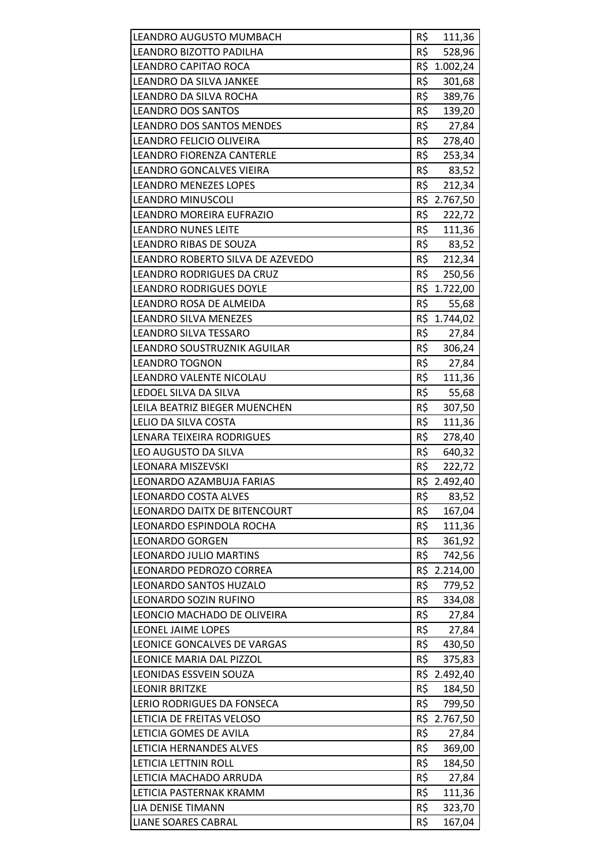| LEANDRO AUGUSTO MUMBACH          | R\$ |                  |
|----------------------------------|-----|------------------|
| LEANDRO BIZOTTO PADILHA          | R\$ | 111,36<br>528,96 |
| <b>LEANDRO CAPITAO ROCA</b>      |     | R\$ 1.002,24     |
| LEANDRO DA SILVA JANKEE          | R\$ | 301,68           |
| LEANDRO DA SILVA ROCHA           | R\$ | 389,76           |
| <b>LEANDRO DOS SANTOS</b>        | R\$ |                  |
| <b>LEANDRO DOS SANTOS MENDES</b> | R\$ | 139,20           |
| LEANDRO FELICIO OLIVEIRA         | R\$ | 27,84            |
| LEANDRO FIORENZA CANTERLE        | R\$ | 278,40<br>253,34 |
| LEANDRO GONCALVES VIEIRA         | R\$ |                  |
| <b>LEANDRO MENEZES LOPES</b>     | R\$ | 83,52<br>212,34  |
| <b>LEANDRO MINUSCOLI</b>         |     | R\$ 2.767,50     |
| LEANDRO MOREIRA EUFRAZIO         | R\$ |                  |
| <b>LEANDRO NUNES LEITE</b>       | R\$ | 222,72           |
|                                  |     | 111,36           |
| <b>LEANDRO RIBAS DE SOUZA</b>    |     | R\$ 83,52        |
| LEANDRO ROBERTO SILVA DE AZEVEDO |     | R\$ 212,34       |
| LEANDRO RODRIGUES DA CRUZ        | R\$ | 250,56           |
| <b>LEANDRO RODRIGUES DOYLE</b>   |     | R\$ 1.722,00     |
| LEANDRO ROSA DE ALMEIDA          | R\$ | 55,68            |
| <b>LEANDRO SILVA MENEZES</b>     |     | R\$ 1.744,02     |
| LEANDRO SILVA TESSARO            | R\$ | 27,84            |
| LEANDRO SOUSTRUZNIK AGUILAR      | R\$ | 306,24           |
| <b>LEANDRO TOGNON</b>            | R\$ | 27,84            |
| LEANDRO VALENTE NICOLAU          | R\$ | 111,36           |
| LEDOEL SILVA DA SILVA            | R\$ | 55,68            |
| LEILA BEATRIZ BIEGER MUENCHEN    | R\$ | 307,50           |
| LELIO DA SILVA COSTA             | R\$ | 111,36           |
| LENARA TEIXEIRA RODRIGUES        | R\$ | 278,40           |
| LEO AUGUSTO DA SILVA             | R\$ | 640,32           |
| LEONARA MISZEVSKI                | R\$ | 222,72           |
| LEONARDO AZAMBUJA FARIAS         |     | R\$ 2.492,40     |
| <b>LEONARDO COSTA ALVES</b>      | R\$ | 83,52            |
| LEONARDO DAITX DE BITENCOURT     | R\$ | 167,04           |
| LEONARDO ESPINDOLA ROCHA         | R\$ | 111,36           |
| <b>LEONARDO GORGEN</b>           | R\$ | 361,92           |
| <b>LEONARDO JULIO MARTINS</b>    | R\$ | 742,56           |
| LEONARDO PEDROZO CORREA          |     | R\$ 2.214,00     |
| LEONARDO SANTOS HUZALO           | R\$ | 779,52           |
| LEONARDO SOZIN RUFINO            | R\$ | 334,08           |
| LEONCIO MACHADO DE OLIVEIRA      | R\$ | 27,84            |
| LEONEL JAIME LOPES               | R\$ | 27,84            |
| LEONICE GONCALVES DE VARGAS      | R\$ | 430,50           |
| LEONICE MARIA DAL PIZZOL         | R\$ | 375,83           |
| LEONIDAS ESSVEIN SOUZA           |     | R\$ 2.492,40     |
| <b>LEONIR BRITZKE</b>            | R\$ | 184,50           |
| LERIO RODRIGUES DA FONSECA       | R\$ | 799,50           |
| LETICIA DE FREITAS VELOSO        |     | R\$ 2.767,50     |
| LETICIA GOMES DE AVILA           | R\$ | 27,84            |
| LETICIA HERNANDES ALVES          | R\$ | 369,00           |
| LETICIA LETTNIN ROLL             | R\$ | 184,50           |
| LETICIA MACHADO ARRUDA           | R\$ | 27,84            |
| LETICIA PASTERNAK KRAMM          | R\$ | 111,36           |
| LIA DENISE TIMANN                | R\$ | 323,70           |
| <b>LIANE SOARES CABRAL</b>       | R\$ | 167,04           |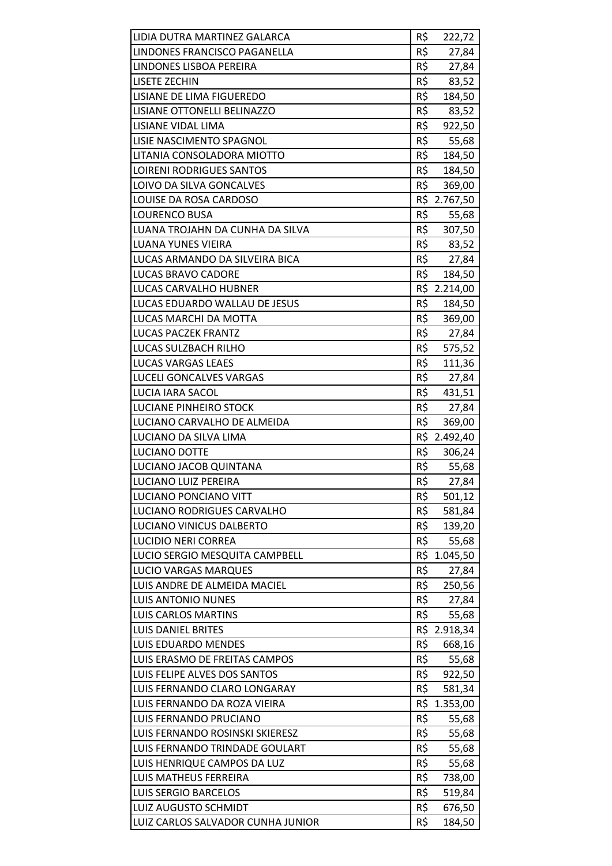| LIDIA DUTRA MARTINEZ GALARCA     | R\$ | 222,72       |
|----------------------------------|-----|--------------|
| LINDONES FRANCISCO PAGANELLA     | R\$ | 27,84        |
| LINDONES LISBOA PEREIRA          | R\$ | 27,84        |
| <b>LISETE ZECHIN</b>             | R\$ | 83,52        |
| <b>LISIANE DE LIMA FIGUEREDO</b> | R\$ | 184,50       |
| LISIANE OTTONELLI BELINAZZO      | R\$ |              |
|                                  | R\$ | 83,52        |
| LISIANE VIDAL LIMA               |     | 922,50       |
| LISIE NASCIMENTO SPAGNOL         | R\$ | 55,68        |
| LITANIA CONSOLADORA MIOTTO       | R\$ | 184,50       |
| <b>LOIRENI RODRIGUES SANTOS</b>  | R\$ | 184,50       |
| LOIVO DA SILVA GONCALVES         | R\$ | 369,00       |
| LOUISE DA ROSA CARDOSO           |     | R\$ 2.767,50 |
| <b>LOURENCO BUSA</b>             | R\$ | 55,68        |
| LUANA TROJAHN DA CUNHA DA SILVA  | R\$ | 307,50       |
| <b>LUANA YUNES VIEIRA</b>        | R\$ | 83,52        |
| LUCAS ARMANDO DA SILVEIRA BICA   | R\$ | 27,84        |
| LUCAS BRAVO CADORE               | R\$ | 184,50       |
| <b>LUCAS CARVALHO HUBNER</b>     |     | R\$ 2.214,00 |
| LUCAS EDUARDO WALLAU DE JESUS    | R\$ | 184,50       |
| LUCAS MARCHI DA MOTTA            | R\$ | 369,00       |
| <b>LUCAS PACZEK FRANTZ</b>       | R\$ | 27,84        |
| LUCAS SULZBACH RILHO             | R\$ | 575,52       |
| <b>LUCAS VARGAS LEAES</b>        | R\$ | 111,36       |
| <b>LUCELI GONCALVES VARGAS</b>   | R\$ | 27,84        |
| LUCIA IARA SACOL                 | R\$ | 431,51       |
| LUCIANE PINHEIRO STOCK           | R\$ | 27,84        |
| LUCIANO CARVALHO DE ALMEIDA      | R\$ | 369,00       |
| LUCIANO DA SILVA LIMA            |     | R\$ 2.492,40 |
| LUCIANO DOTTE                    | R\$ | 306,24       |
| LUCIANO JACOB QUINTANA           |     | R\$ 55,68    |
| LUCIANO LUIZ PEREIRA             | R\$ | 27,84        |
| <b>LUCIANO PONCIANO VITT</b>     | R\$ | 501,12       |
| LUCIANO RODRIGUES CARVALHO       | R\$ | 581,84       |
| <b>LUCIANO VINICUS DALBERTO</b>  | R\$ | 139,20       |
| <b>LUCIDIO NERI CORREA</b>       | R\$ | 55,68        |
| LUCIO SERGIO MESQUITA CAMPBELL   | R\$ | 1.045,50     |
| <b>LUCIO VARGAS MARQUES</b>      | R\$ | 27,84        |
| LUIS ANDRE DE ALMEIDA MACIEL     | R\$ | 250,56       |
| <b>LUIS ANTONIO NUNES</b>        | R\$ | 27,84        |
| <b>LUIS CARLOS MARTINS</b>       | R\$ | 55,68        |
| <b>LUIS DANIEL BRITES</b>        |     | R\$ 2.918,34 |
| LUIS EDUARDO MENDES              | R\$ | 668,16       |
| LUIS ERASMO DE FREITAS CAMPOS    | R\$ | 55,68        |
| LUIS FELIPE ALVES DOS SANTOS     | R\$ | 922,50       |
| LUIS FERNANDO CLARO LONGARAY     | R\$ | 581,34       |
| LUIS FERNANDO DA ROZA VIEIRA     | R\$ | 1.353,00     |
| LUIS FERNANDO PRUCIANO           | R\$ | 55,68        |
| LUIS FERNANDO ROSINSKI SKIERESZ  | R\$ | 55,68        |
| LUIS FERNANDO TRINDADE GOULART   | R\$ | 55,68        |
| LUIS HENRIQUE CAMPOS DA LUZ      | R\$ | 55,68        |
| <b>LUIS MATHEUS FERREIRA</b>     | R\$ | 738,00       |
| <b>LUIS SERGIO BARCELOS</b>      | R\$ | 519,84       |
|                                  |     |              |
| <b>LUIZ AUGUSTO SCHMIDT</b>      | R\$ | 676,50       |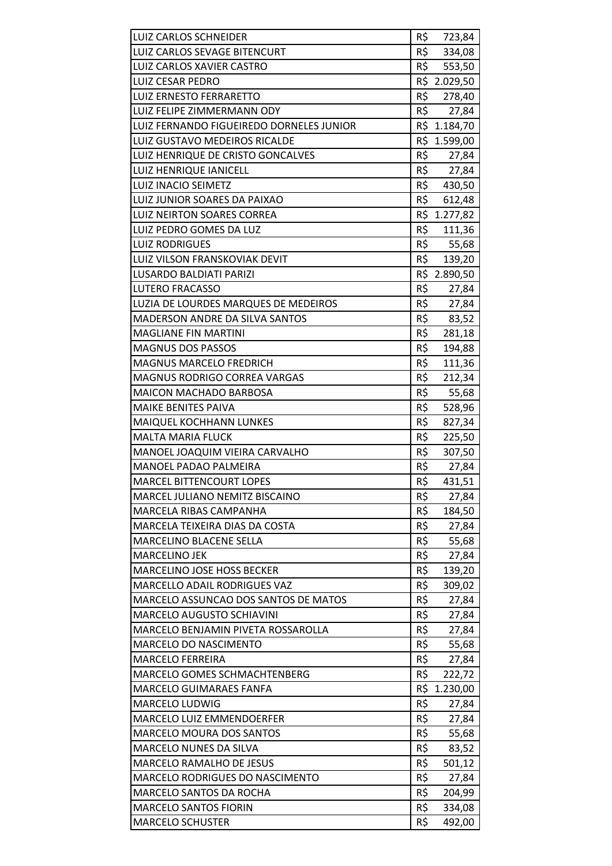| LUIZ CARLOS SCHNEIDER                    | R\$        | 723,84                |
|------------------------------------------|------------|-----------------------|
| LUIZ CARLOS SEVAGE BITENCURT             | R\$        | 334,08                |
| LUIZ CARLOS XAVIER CASTRO                | R\$        | 553,50                |
| <b>LUIZ CESAR PEDRO</b>                  |            | R\$ 2.029,50          |
| LUIZ ERNESTO FERRARETTO                  | R\$        |                       |
|                                          | R\$        | 278,40                |
| LUIZ FELIPE ZIMMERMANN ODY               |            | 27,84<br>R\$ 1.184,70 |
| LUIZ FERNANDO FIGUEIREDO DORNELES JUNIOR |            |                       |
| LUIZ GUSTAVO MEDEIROS RICALDE            | R\$<br>R\$ | 1.599,00              |
| LUIZ HENRIQUE DE CRISTO GONCALVES        |            | 27,84                 |
| <b>LUIZ HENRIQUE IANICELL</b>            | R\$        | 27,84                 |
| <b>LUIZ INACIO SEIMETZ</b>               |            | R\$ 430,50            |
| LUIZ JUNIOR SOARES DA PAIXAO             | R\$        | 612,48                |
| <b>LUIZ NEIRTON SOARES CORREA</b>        |            | R\$ 1.277,82          |
| LUIZ PEDRO GOMES DA LUZ                  | R\$        | 111,36                |
| <b>LUIZ RODRIGUES</b>                    |            | R\$ 55,68             |
| LUIZ VILSON FRANSKOVIAK DEVIT            | R\$        | 139,20                |
| <b>LUSARDO BALDIATI PARIZI</b>           |            | R\$ 2.890,50          |
| <b>LUTERO FRACASSO</b>                   | R\$        | 27,84                 |
| LUZIA DE LOURDES MARQUES DE MEDEIROS     | R\$        | 27,84                 |
| <b>MADERSON ANDRE DA SILVA SANTOS</b>    | R\$        | 83,52                 |
| <b>MAGLIANE FIN MARTINI</b>              | R\$        | 281,18                |
| <b>MAGNUS DOS PASSOS</b>                 | R\$        | 194,88                |
| <b>MAGNUS MARCELO FREDRICH</b>           | R\$        | 111,36                |
| MAGNUS RODRIGO CORREA VARGAS             | R\$        | 212,34                |
| <b>MAICON MACHADO BARBOSA</b>            | R\$        | 55,68                 |
| <b>MAIKE BENITES PAIVA</b>               | R\$        | 528,96                |
| MAIQUEL KOCHHANN LUNKES                  | R\$        | 827,34                |
| <b>MALTA MARIA FLUCK</b>                 | R\$        | 225,50                |
| MANOEL JOAQUIM VIEIRA CARVALHO           | R\$        | 307,50                |
| <b>MANOEL PADAO PALMEIRA</b>             | R\$        | 27,84                 |
| <b>MARCEL BITTENCOURT LOPES</b>          | R\$        | 431,51                |
| MARCEL JULIANO NEMITZ BISCAINO           | R\$        | 27,84                 |
| MARCELA RIBAS CAMPANHA                   | R\$        | 184,50                |
| MARCELA TEIXEIRA DIAS DA COSTA           | R\$        | 27,84                 |
| <b>MARCELINO BLACENE SELLA</b>           | R\$        | 55,68                 |
| <b>MARCELINO JEK</b>                     | R\$        | 27,84                 |
| MARCELINO JOSE HOSS BECKER               | R\$        | 139,20                |
| MARCELLO ADAIL RODRIGUES VAZ             | R\$        | 309,02                |
| MARCELO ASSUNCAO DOS SANTOS DE MATOS     | R\$        | 27,84                 |
| <b>MARCELO AUGUSTO SCHIAVINI</b>         | R\$        | 27,84                 |
| MARCELO BENJAMIN PIVETA ROSSAROLLA       | R\$        | 27,84                 |
| MARCELO DO NASCIMENTO                    | R\$        | 55,68                 |
| <b>MARCELO FERREIRA</b>                  | R\$        | 27,84                 |
| MARCELO GOMES SCHMACHTENBERG             | R\$        | 222,72                |
| MARCELO GUIMARAES FANFA                  | R\$        | 1.230,00              |
| MARCELO LUDWIG                           | R\$        | 27,84                 |
| <b>MARCELO LUIZ EMMENDOERFER</b>         | R\$        | 27,84                 |
| <b>MARCELO MOURA DOS SANTOS</b>          | R\$        | 55,68                 |
| MARCELO NUNES DA SILVA                   | R\$        | 83,52                 |
| <b>MARCELO RAMALHO DE JESUS</b>          | R\$        | 501,12                |
| MARCELO RODRIGUES DO NASCIMENTO          | R\$        | 27,84                 |
| <b>MARCELO SANTOS DA ROCHA</b>           | R\$        | 204,99                |
| <b>MARCELO SANTOS FIORIN</b>             | R\$        | 334,08                |
| <b>MARCELO SCHUSTER</b>                  | R\$        | 492,00                |
|                                          |            |                       |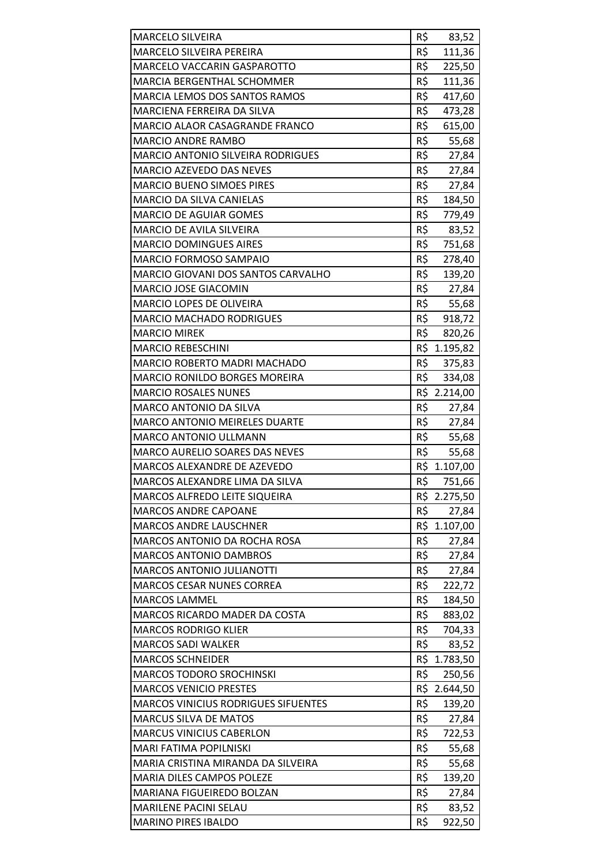| MARCELO SILVEIRA                           | R\$ | 83,52        |
|--------------------------------------------|-----|--------------|
| MARCELO SILVEIRA PEREIRA                   | R\$ | 111,36       |
| MARCELO VACCARIN GASPAROTTO                | R\$ | 225,50       |
| <b>MARCIA BERGENTHAL SCHOMMER</b>          | R\$ | 111,36       |
| <b>MARCIA LEMOS DOS SANTOS RAMOS</b>       | R\$ | 417,60       |
| MARCIENA FERREIRA DA SILVA                 | R\$ | 473,28       |
| MARCIO ALAOR CASAGRANDE FRANCO             | R\$ | 615,00       |
| <b>MARCIO ANDRE RAMBO</b>                  | R\$ | 55,68        |
| <b>MARCIO ANTONIO SILVEIRA RODRIGUES</b>   | R\$ | 27,84        |
| <b>MARCIO AZEVEDO DAS NEVES</b>            | R\$ | 27,84        |
| <b>MARCIO BUENO SIMOES PIRES</b>           | R\$ | 27,84        |
| MARCIO DA SILVA CANIELAS                   | R\$ | 184,50       |
| <b>MARCIO DE AGUIAR GOMES</b>              | R\$ | 779,49       |
| MARCIO DE AVILA SILVEIRA                   | R\$ | 83,52        |
| <b>MARCIO DOMINGUES AIRES</b>              | R\$ | 751,68       |
| MARCIO FORMOSO SAMPAIO                     | R\$ | 278,40       |
| MARCIO GIOVANI DOS SANTOS CARVALHO         | R\$ | 139,20       |
| MARCIO JOSE GIACOMIN                       | R\$ | 27,84        |
| MARCIO LOPES DE OLIVEIRA                   | R\$ | 55,68        |
| <b>MARCIO MACHADO RODRIGUES</b>            | R\$ | 918,72       |
| <b>MARCIO MIREK</b>                        | R\$ | 820,26       |
| <b>MARCIO REBESCHINI</b>                   |     | R\$ 1.195,82 |
| <b>MARCIO ROBERTO MADRI MACHADO</b>        | R\$ | 375,83       |
| MARCIO RONILDO BORGES MOREIRA              | R\$ | 334,08       |
| <b>MARCIO ROSALES NUNES</b>                |     | R\$ 2.214,00 |
| MARCO ANTONIO DA SILVA                     | R\$ | 27,84        |
| <b>MARCO ANTONIO MEIRELES DUARTE</b>       | R\$ | 27,84        |
| MARCO ANTONIO ULLMANN                      | R\$ | 55,68        |
| <b>MARCO AURELIO SOARES DAS NEVES</b>      | R\$ | 55,68        |
| MARCOS ALEXANDRE DE AZEVEDO                |     | R\$ 1.107,00 |
| MARCOS ALEXANDRE LIMA DA SILVA             | R\$ | 751,66       |
| MARCOS ALFREDO LEITE SIQUEIRA              | R\$ | 2.275,50     |
| <b>MARCOS ANDRE CAPOANE</b>                | R\$ | 27,84        |
| <b>MARCOS ANDRE LAUSCHNER</b>              |     | R\$ 1.107,00 |
| MARCOS ANTONIO DA ROCHA ROSA               | R\$ | 27,84        |
| <b>MARCOS ANTONIO DAMBROS</b>              | R\$ | 27,84        |
| <b>MARCOS ANTONIO JULIANOTTI</b>           | R\$ | 27,84        |
| <b>MARCOS CESAR NUNES CORREA</b>           | R\$ | 222,72       |
| <b>MARCOS LAMMEL</b>                       | R\$ | 184,50       |
| MARCOS RICARDO MADER DA COSTA              | R\$ | 883,02       |
| <b>MARCOS RODRIGO KLIER</b>                | R\$ | 704,33       |
| <b>MARCOS SADI WALKER</b>                  | R\$ | 83,52        |
| <b>MARCOS SCHNEIDER</b>                    |     | R\$ 1.783,50 |
| <b>MARCOS TODORO SROCHINSKI</b>            | R\$ | 250,56       |
| <b>MARCOS VENICIO PRESTES</b>              | R\$ | 2.644,50     |
| <b>MARCOS VINICIUS RODRIGUES SIFUENTES</b> | R\$ | 139,20       |
| <b>MARCUS SILVA DE MATOS</b>               | R\$ | 27,84        |
| <b>MARCUS VINICIUS CABERLON</b>            | R\$ | 722,53       |
| MARI FATIMA POPILNISKI                     | R\$ | 55,68        |
| MARIA CRISTINA MIRANDA DA SILVEIRA         | R\$ | 55,68        |
| MARIA DILES CAMPOS POLEZE                  | R\$ | 139,20       |
| MARIANA FIGUEIREDO BOLZAN                  | R\$ | 27,84        |
| MARILENE PACINI SELAU                      | R\$ | 83,52        |
| <b>MARINO PIRES IBALDO</b>                 | R\$ | 922,50       |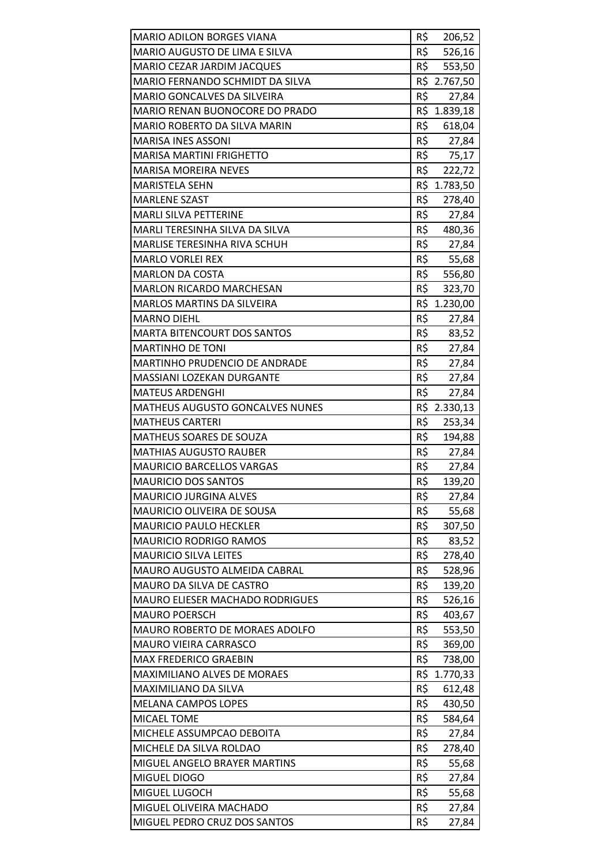| <b>MARIO ADILON BORGES VIANA</b>       | R\$ | 206,52       |
|----------------------------------------|-----|--------------|
| MARIO AUGUSTO DE LIMA E SILVA          | R\$ | 526,16       |
| MARIO CEZAR JARDIM JACQUES             | R\$ | 553,50       |
| MARIO FERNANDO SCHMIDT DA SILVA        | R\$ | 2.767,50     |
| <b>MARIO GONCALVES DA SILVEIRA</b>     | R\$ | 27,84        |
| MARIO RENAN BUONOCORE DO PRADO         |     | R\$ 1.839,18 |
| MARIO ROBERTO DA SILVA MARIN           | R\$ | 618,04       |
| <b>MARISA INES ASSONI</b>              | R\$ | 27,84        |
| <b>MARISA MARTINI FRIGHETTO</b>        | R\$ | 75,17        |
| <b>MARISA MOREIRA NEVES</b>            | R\$ | 222,72       |
| <b>MARISTELA SEHN</b>                  |     | R\$ 1.783,50 |
| <b>MARLENE SZAST</b>                   | R\$ | 278,40       |
| <b>MARLI SILVA PETTERINE</b>           | R\$ | 27,84        |
| MARLI TERESINHA SILVA DA SILVA         | R\$ | 480,36       |
| MARLISE TERESINHA RIVA SCHUH           | R\$ | 27,84        |
| <b>MARLO VORLEI REX</b>                |     | R\$ 55,68    |
| <b>MARLON DA COSTA</b>                 | R\$ | 556,80       |
| <b>MARLON RICARDO MARCHESAN</b>        | R\$ | 323,70       |
| <b>MARLOS MARTINS DA SILVEIRA</b>      |     | R\$ 1.230,00 |
| <b>MARNO DIEHL</b>                     | R\$ | 27,84        |
| <b>MARTA BITENCOURT DOS SANTOS</b>     | R\$ | 83,52        |
| <b>MARTINHO DE TONI</b>                | R\$ | 27,84        |
| MARTINHO PRUDENCIO DE ANDRADE          | R\$ | 27,84        |
| MASSIANI LOZEKAN DURGANTE              | R\$ | 27,84        |
| <b>MATEUS ARDENGHI</b>                 | R\$ | 27,84        |
| <b>MATHEUS AUGUSTO GONCALVES NUNES</b> |     | R\$ 2.330,13 |
| <b>MATHEUS CARTERI</b>                 | R\$ | 253,34       |
| MATHEUS SOARES DE SOUZA                | R\$ | 194,88       |
| <b>MATHIAS AUGUSTO RAUBER</b>          | R\$ | 27,84        |
| <b>MAURICIO BARCELLOS VARGAS</b>       | R\$ | 27,84        |
| <b>MAURICIO DOS SANTOS</b>             | R\$ | 139,20       |
| <b>MAURICIO JURGINA ALVES</b>          | R\$ | 27,84        |
| MAURICIO OLIVEIRA DE SOUSA             | R\$ | 55,68        |
| <b>MAURICIO PAULO HECKLER</b>          | R\$ | 307,50       |
| <b>MAURICIO RODRIGO RAMOS</b>          | R\$ | 83,52        |
| <b>MAURICIO SILVA LEITES</b>           | R\$ | 278,40       |
| MAURO AUGUSTO ALMEIDA CABRAL           | R\$ | 528,96       |
| MAURO DA SILVA DE CASTRO               | R\$ | 139,20       |
| <b>MAURO ELIESER MACHADO RODRIGUES</b> | R\$ | 526,16       |
| <b>MAURO POERSCH</b>                   | R\$ | 403,67       |
| MAURO ROBERTO DE MORAES ADOLFO         | R\$ | 553,50       |
| <b>MAURO VIEIRA CARRASCO</b>           | R\$ | 369,00       |
| <b>MAX FREDERICO GRAEBIN</b>           | R\$ | 738,00       |
| MAXIMILIANO ALVES DE MORAES            | R\$ | 1.770,33     |
| MAXIMILIANO DA SILVA                   | R\$ | 612,48       |
| <b>MELANA CAMPOS LOPES</b>             | R\$ | 430,50       |
| MICAEL TOME                            | R\$ | 584,64       |
| MICHELE ASSUMPCAO DEBOITA              | R\$ | 27,84        |
| MICHELE DA SILVA ROLDAO                | R\$ | 278,40       |
| MIGUEL ANGELO BRAYER MARTINS           | R\$ | 55,68        |
| MIGUEL DIOGO                           | R\$ | 27,84        |
| MIGUEL LUGOCH                          | R\$ | 55,68        |
| MIGUEL OLIVEIRA MACHADO                | R\$ | 27,84        |
| MIGUEL PEDRO CRUZ DOS SANTOS           | R\$ | 27,84        |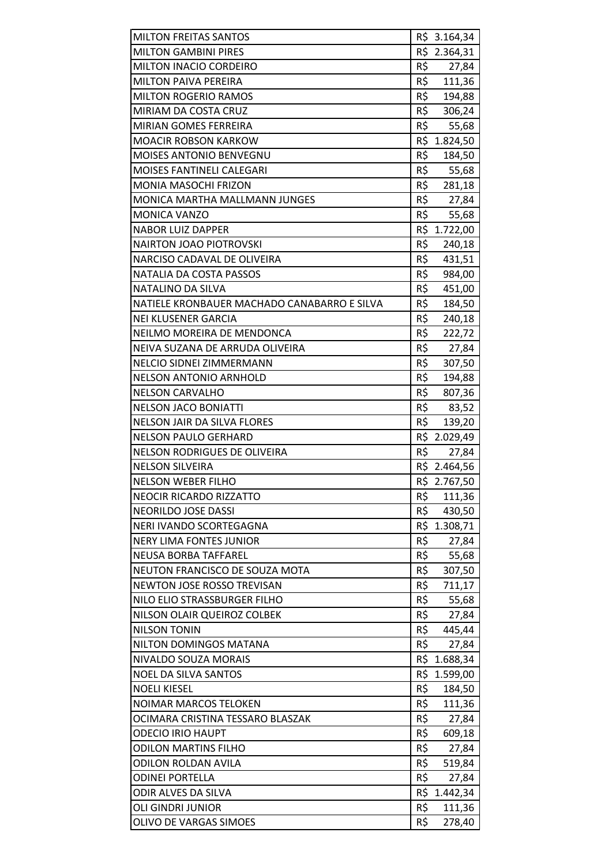| <b>MILTON FREITAS SANTOS</b>                |     | R\$ 3.164,34    |
|---------------------------------------------|-----|-----------------|
| <b>MILTON GAMBINI PIRES</b>                 |     | R\$ 2.364,31    |
| MILTON INACIO CORDEIRO                      | R\$ | 27,84           |
| <b>MILTON PAIVA PEREIRA</b>                 | R\$ | 111,36          |
| <b>MILTON ROGERIO RAMOS</b>                 | R\$ | 194,88          |
| MIRIAM DA COSTA CRUZ                        | R\$ | 306,24          |
| <b>MIRIAN GOMES FERREIRA</b>                | R\$ | 55,68           |
| <b>MOACIR ROBSON KARKOW</b>                 |     | R\$ 1.824,50    |
| <b>MOISES ANTONIO BENVEGNU</b>              | R\$ | 184,50          |
| <b>MOISES FANTINELI CALEGARI</b>            | R\$ |                 |
| MONIA MASOCHI FRIZON                        | R\$ | 55,68<br>281,18 |
| <b>MONICA MARTHA MALLMANN JUNGES</b>        | R\$ |                 |
|                                             | R\$ | 27,84           |
| <b>MONICA VANZO</b>                         | R\$ | 55,68           |
| <b>NABOR LUIZ DAPPER</b>                    |     | 1.722,00        |
| <b>NAIRTON JOAO PIOTROVSKI</b>              | R\$ | 240,18          |
| NARCISO CADAVAL DE OLIVEIRA                 | R\$ | 431,51          |
| NATALIA DA COSTA PASSOS                     | R\$ | 984,00          |
| NATALINO DA SILVA                           | R\$ | 451,00          |
| NATIELE KRONBAUER MACHADO CANABARRO E SILVA | R\$ | 184,50          |
| <b>NEI KLUSENER GARCIA</b>                  | R\$ | 240,18          |
| NEILMO MOREIRA DE MENDONCA                  | R\$ | 222,72          |
| NEIVA SUZANA DE ARRUDA OLIVEIRA             | R\$ | 27,84           |
| NELCIO SIDNEI ZIMMERMANN                    | R\$ | 307,50          |
| <b>NELSON ANTONIO ARNHOLD</b>               | R\$ | 194,88          |
| <b>NELSON CARVALHO</b>                      | R\$ | 807,36          |
| <b>NELSON JACO BONIATTI</b>                 | R\$ | 83,52           |
| <b>NELSON JAIR DA SILVA FLORES</b>          | R\$ | 139,20          |
| <b>NELSON PAULO GERHARD</b>                 |     | R\$ 2.029,49    |
| NELSON RODRIGUES DE OLIVEIRA                | R\$ | 27,84           |
| <b>NELSON SILVEIRA</b>                      |     | R\$ 2.464,56    |
| <b>NELSON WEBER FILHO</b>                   |     | R\$ 2.767,50    |
| <b>NEOCIR RICARDO RIZZATTO</b>              | R\$ | 111,36          |
| NEORILDO JOSE DASSI                         | R\$ | 430,50          |
| NERI IVANDO SCORTEGAGNA                     |     | R\$ 1.308,71    |
| <b>NERY LIMA FONTES JUNIOR</b>              | R\$ | 27,84           |
| NEUSA BORBA TAFFAREL                        | R\$ | 55,68           |
| NEUTON FRANCISCO DE SOUZA MOTA              | R\$ | 307,50          |
| NEWTON JOSE ROSSO TREVISAN                  | R\$ | 711,17          |
| NILO ELIO STRASSBURGER FILHO                | R\$ | 55,68           |
| NILSON OLAIR QUEIROZ COLBEK                 | R\$ | 27,84           |
| <b>NILSON TONIN</b>                         | R\$ | 445,44          |
| NILTON DOMINGOS MATANA                      | R\$ | 27,84           |
| NIVALDO SOUZA MORAIS                        |     | R\$ 1.688,34    |
| <b>NOEL DA SILVA SANTOS</b>                 | R\$ | 1.599,00        |
| <b>NOELI KIESEL</b>                         | R\$ | 184,50          |
| <b>NOIMAR MARCOS TELOKEN</b>                | R\$ | 111,36          |
| OCIMARA CRISTINA TESSARO BLASZAK            | R\$ | 27,84           |
| <b>ODECIO IRIO HAUPT</b>                    | R\$ | 609,18          |
| <b>ODILON MARTINS FILHO</b>                 | R\$ | 27,84           |
| <b>ODILON ROLDAN AVILA</b>                  | R\$ | 519,84          |
| <b>ODINEI PORTELLA</b>                      | R\$ | 27,84           |
| ODIR ALVES DA SILVA                         |     | R\$ 1.442,34    |
| <b>OLI GINDRI JUNIOR</b>                    | R\$ | 111,36          |
| OLIVO DE VARGAS SIMOES                      | R\$ | 278,40          |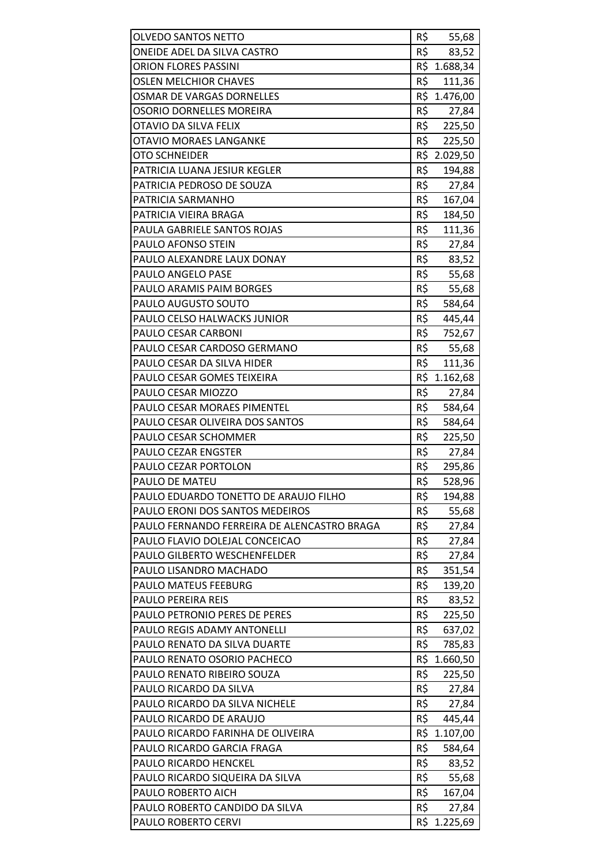| <b>OLVEDO SANTOS NETTO</b>                  | R\$ | 55,68           |
|---------------------------------------------|-----|-----------------|
| ONEIDE ADEL DA SILVA CASTRO                 | R\$ | 83,52           |
| <b>ORION FLORES PASSINI</b>                 |     | R\$ 1.688,34    |
| <b>OSLEN MELCHIOR CHAVES</b>                | R\$ | 111,36          |
| <b>OSMAR DE VARGAS DORNELLES</b>            |     | R\$ 1.476,00    |
| OSORIO DORNELLES MOREIRA                    | R\$ | 27,84           |
| OTAVIO DA SILVA FELIX                       | R\$ | 225,50          |
| <b>OTAVIO MORAES LANGANKE</b>               | R\$ | 225,50          |
| <b>OTO SCHNEIDER</b>                        | R\$ | 2.029,50        |
| PATRICIA LUANA JESIUR KEGLER                | R\$ | 194,88          |
| PATRICIA PEDROSO DE SOUZA                   | R\$ | 27,84           |
| PATRICIA SARMANHO                           | R\$ | 167,04          |
| PATRICIA VIEIRA BRAGA                       | R\$ | 184,50          |
| PAULA GABRIELE SANTOS ROJAS                 | R\$ | 111,36          |
| <b>PAULO AFONSO STEIN</b>                   | R\$ | 27,84           |
| PAULO ALEXANDRE LAUX DONAY                  | R\$ | 83,52           |
| <b>PAULO ANGELO PASE</b>                    | R\$ | 55,68           |
| PAULO ARAMIS PAIM BORGES                    | R\$ |                 |
| PAULO AUGUSTO SOUTO                         | R\$ | 55,68<br>584,64 |
| PAULO CELSO HALWACKS JUNIOR                 | R\$ |                 |
|                                             |     | 445,44          |
| PAULO CESAR CARBONI                         | R\$ | 752,67          |
| PAULO CESAR CARDOSO GERMANO                 | R\$ | 55,68           |
| PAULO CESAR DA SILVA HIDER                  | R\$ | 111,36          |
| PAULO CESAR GOMES TEIXEIRA                  |     | R\$ 1.162,68    |
| PAULO CESAR MIOZZO                          | R\$ | 27,84           |
| PAULO CESAR MORAES PIMENTEL                 | R\$ | 584,64          |
| PAULO CESAR OLIVEIRA DOS SANTOS             | R\$ | 584,64          |
| PAULO CESAR SCHOMMER                        | R\$ | 225,50          |
| <b>PAULO CEZAR ENGSTER</b>                  | R\$ | 27,84           |
| PAULO CEZAR PORTOLON                        | R\$ | 295,86          |
| PAULO DE MATEU                              | R\$ | 528,96          |
| PAULO EDUARDO TONETTO DE ARAUJO FILHO       | R\$ | 194,88          |
| PAULO ERONI DOS SANTOS MEDEIROS             | R\$ | 55,68           |
| PAULO FERNANDO FERREIRA DE ALENCASTRO BRAGA | R\$ | 27,84           |
| PAULO FLAVIO DOLEJAL CONCEICAO              | R\$ | 27,84           |
| PAULO GILBERTO WESCHENFELDER                | R\$ | 27,84           |
| PAULO LISANDRO MACHADO                      | R\$ | 351,54          |
| <b>PAULO MATEUS FEEBURG</b>                 | R\$ | 139,20          |
| <b>PAULO PEREIRA REIS</b>                   | R\$ | 83,52           |
| PAULO PETRONIO PERES DE PERES               | R\$ | 225,50          |
| PAULO REGIS ADAMY ANTONELLI                 | R\$ | 637,02          |
| PAULO RENATO DA SILVA DUARTE                | R\$ | 785,83          |
| PAULO RENATO OSORIO PACHECO                 |     | R\$ 1.660,50    |
| PAULO RENATO RIBEIRO SOUZA                  | R\$ | 225,50          |
| PAULO RICARDO DA SILVA                      | R\$ | 27,84           |
| PAULO RICARDO DA SILVA NICHELE              | R\$ | 27,84           |
| PAULO RICARDO DE ARAUJO                     | R\$ | 445,44          |
| PAULO RICARDO FARINHA DE OLIVEIRA           |     | R\$ 1.107,00    |
| PAULO RICARDO GARCIA FRAGA                  | R\$ | 584,64          |
| PAULO RICARDO HENCKEL                       | R\$ | 83,52           |
| PAULO RICARDO SIQUEIRA DA SILVA             | R\$ | 55,68           |
| PAULO ROBERTO AICH                          | R\$ | 167,04          |
| PAULO ROBERTO CANDIDO DA SILVA              | R\$ | 27,84           |
| PAULO ROBERTO CERVI                         | R\$ | 1.225,69        |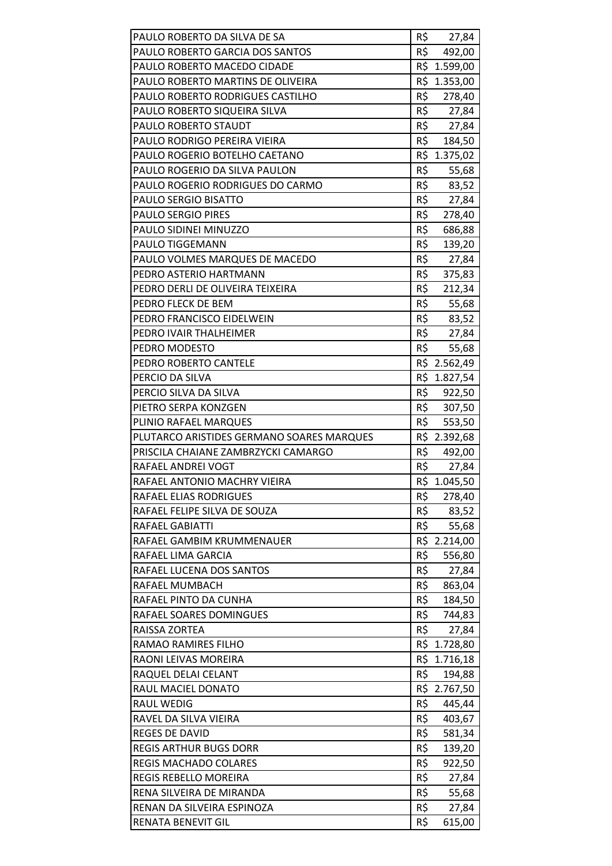| PAULO ROBERTO DA SILVA DE SA              | R\$ | 27,84        |
|-------------------------------------------|-----|--------------|
| PAULO ROBERTO GARCIA DOS SANTOS           | R\$ | 492,00       |
| PAULO ROBERTO MACEDO CIDADE               |     | R\$ 1.599,00 |
| PAULO ROBERTO MARTINS DE OLIVEIRA         | R\$ | 1.353,00     |
| PAULO ROBERTO RODRIGUES CASTILHO          | R\$ | 278,40       |
| PAULO ROBERTO SIQUEIRA SILVA              |     | R\$ 27,84    |
| PAULO ROBERTO STAUDT                      | R\$ | 27,84        |
| PAULO RODRIGO PEREIRA VIEIRA              | R\$ | 184,50       |
| PAULO ROGERIO BOTELHO CAETANO             | R\$ | 1.375,02     |
| PAULO ROGERIO DA SILVA PAULON             | R\$ | 55,68        |
| PAULO ROGERIO RODRIGUES DO CARMO          |     | R\$ 83,52    |
| PAULO SERGIO BISATTO                      | R\$ | 27,84        |
| <b>PAULO SERGIO PIRES</b>                 | R\$ | 278,40       |
| PAULO SIDINEI MINUZZO                     | R\$ | 686,88       |
| PAULO TIGGEMANN                           | R\$ | 139,20       |
| PAULO VOLMES MARQUES DE MACEDO            | R\$ | 27,84        |
| PEDRO ASTERIO HARTMANN                    | R\$ | 375,83       |
| PEDRO DERLI DE OLIVEIRA TEIXEIRA          | R\$ | 212,34       |
| PEDRO FLECK DE BEM                        | R\$ | 55,68        |
| PEDRO FRANCISCO EIDELWEIN                 |     | R\$ 83,52    |
| PEDRO IVAIR THALHEIMER                    |     | R\$ 27,84    |
| PEDRO MODESTO                             | R\$ | 55,68        |
| PEDRO ROBERTO CANTELE                     |     | R\$ 2.562,49 |
| PERCIO DA SILVA                           |     | R\$ 1.827,54 |
| PERCIO SILVA DA SILVA                     | R\$ | 922,50       |
| PIETRO SERPA KONZGEN                      |     | R\$ 307,50   |
| PLINIO RAFAEL MARQUES                     | R\$ | 553,50       |
| PLUTARCO ARISTIDES GERMANO SOARES MARQUES |     | R\$ 2.392,68 |
| PRISCILA CHAIANE ZAMBRZYCKI CAMARGO       | R\$ | 492,00       |
| RAFAEL ANDREI VOGT                        | R\$ | 27,84        |
| RAFAEL ANTONIO MACHRY VIEIRA              |     | R\$ 1.045,50 |
| RAFAEL ELIAS RODRIGUES                    | R\$ | 278,40       |
| RAFAEL FELIPE SILVA DE SOUZA              | R\$ | 83,52        |
| RAFAEL GABIATTI                           | R\$ | 55,68        |
| RAFAEL GAMBIM KRUMMENAUER                 |     | R\$ 2.214,00 |
| RAFAEL LIMA GARCIA                        | R\$ | 556,80       |
| RAFAEL LUCENA DOS SANTOS                  | R\$ | 27,84        |
| RAFAEL MUMBACH                            | R\$ | 863,04       |
| RAFAEL PINTO DA CUNHA                     | R\$ | 184,50       |
| RAFAEL SOARES DOMINGUES                   | R\$ | 744,83       |
| RAISSA ZORTEA                             | R\$ | 27,84        |
| RAMAO RAMIRES FILHO                       |     | R\$ 1.728,80 |
| RAONI LEIVAS MOREIRA                      |     | R\$ 1.716,18 |
| RAQUEL DELAI CELANT                       | R\$ | 194,88       |
| RAUL MACIEL DONATO                        | R\$ | 2.767,50     |
| <b>RAUL WEDIG</b>                         | R\$ | 445,44       |
| RAVEL DA SILVA VIEIRA                     | R\$ | 403,67       |
| <b>REGES DE DAVID</b>                     | R\$ | 581,34       |
| <b>REGIS ARTHUR BUGS DORR</b>             | R\$ | 139,20       |
| <b>REGIS MACHADO COLARES</b>              | R\$ | 922,50       |
| REGIS REBELLO MOREIRA                     | R\$ | 27,84        |
| RENA SILVEIRA DE MIRANDA                  | R\$ | 55,68        |
| RENAN DA SILVEIRA ESPINOZA                | R\$ | 27,84        |
| <b>RENATA BENEVIT GIL</b>                 | R\$ | 615,00       |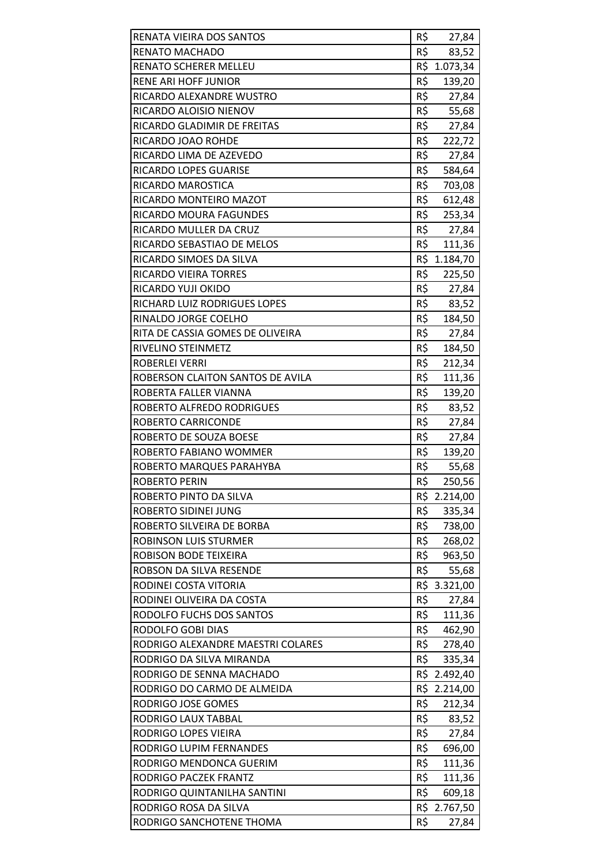| RENATA VIEIRA DOS SANTOS          | R\$ | 27,84        |
|-----------------------------------|-----|--------------|
| RENATO MACHADO                    | R\$ | 83,52        |
| <b>RENATO SCHERER MELLEU</b>      |     | R\$ 1.073,34 |
| <b>RENE ARI HOFF JUNIOR</b>       | R\$ | 139,20       |
| RICARDO ALEXANDRE WUSTRO          | R\$ | 27,84        |
| RICARDO ALOISIO NIENOV            | R\$ | 55,68        |
| RICARDO GLADIMIR DE FREITAS       | R\$ | 27,84        |
| RICARDO JOAO ROHDE                | R\$ | 222,72       |
| RICARDO LIMA DE AZEVEDO           | R\$ | 27,84        |
| <b>RICARDO LOPES GUARISE</b>      | R\$ | 584,64       |
| RICARDO MAROSTICA                 | R\$ | 703,08       |
| RICARDO MONTEIRO MAZOT            | R\$ | 612,48       |
| RICARDO MOURA FAGUNDES            | R\$ | 253,34       |
| RICARDO MULLER DA CRUZ            | R\$ | 27,84        |
| RICARDO SEBASTIAO DE MELOS        | R\$ | 111,36       |
| RICARDO SIMOES DA SILVA           |     | R\$ 1.184,70 |
| RICARDO VIEIRA TORRES             | R\$ | 225,50       |
| RICARDO YUJI OKIDO                | R\$ | 27,84        |
| RICHARD LUIZ RODRIGUES LOPES      | R\$ | 83,52        |
| RINALDO JORGE COELHO              | R\$ | 184,50       |
| RITA DE CASSIA GOMES DE OLIVEIRA  | R\$ | 27,84        |
| RIVELINO STEINMETZ                | R\$ | 184,50       |
| <b>ROBERLEI VERRI</b>             | R\$ | 212,34       |
| ROBERSON CLAITON SANTOS DE AVILA  | R\$ | 111,36       |
| ROBERTA FALLER VIANNA             | R\$ | 139,20       |
| ROBERTO ALFREDO RODRIGUES         | R\$ | 83,52        |
| ROBERTO CARRICONDE                | R\$ | 27,84        |
| ROBERTO DE SOUZA BOESE            | R\$ | 27,84        |
| ROBERTO FABIANO WOMMER            | R\$ | 139,20       |
| ROBERTO MARQUES PARAHYBA          | R\$ | 55,68        |
| <b>ROBERTO PERIN</b>              | R\$ | 250,56       |
| ROBERTO PINTO DA SILVA            | R\$ | 2.214,00     |
| ROBERTO SIDINEI JUNG              | R\$ | 335,34       |
| ROBERTO SILVEIRA DE BORBA         | R\$ | 738,00       |
| ROBINSON LUIS STURMER             | R\$ | 268,02       |
| ROBISON BODE TEIXEIRA             | R\$ | 963,50       |
| ROBSON DA SILVA RESENDE           | R\$ | 55,68        |
| RODINEI COSTA VITORIA             |     | R\$ 3.321,00 |
| RODINEI OLIVEIRA DA COSTA         | R\$ | 27,84        |
| RODOLFO FUCHS DOS SANTOS          | R\$ | 111,36       |
| RODOLFO GOBI DIAS                 | R\$ | 462,90       |
| RODRIGO ALEXANDRE MAESTRI COLARES | R\$ | 278,40       |
| RODRIGO DA SILVA MIRANDA          | R\$ | 335,34       |
| RODRIGO DE SENNA MACHADO          |     | R\$ 2.492,40 |
| RODRIGO DO CARMO DE ALMEIDA       | R\$ | 2.214,00     |
| RODRIGO JOSE GOMES                | R\$ | 212,34       |
| RODRIGO LAUX TABBAL               | R\$ | 83,52        |
| RODRIGO LOPES VIEIRA              | R\$ | 27,84        |
| RODRIGO LUPIM FERNANDES           | R\$ | 696,00       |
| RODRIGO MENDONCA GUERIM           | R\$ | 111,36       |
| RODRIGO PACZEK FRANTZ             | R\$ | 111,36       |
| RODRIGO QUINTANILHA SANTINI       | R\$ | 609,18       |
| RODRIGO ROSA DA SILVA             |     | R\$ 2.767,50 |
| RODRIGO SANCHOTENE THOMA          | R\$ | 27,84        |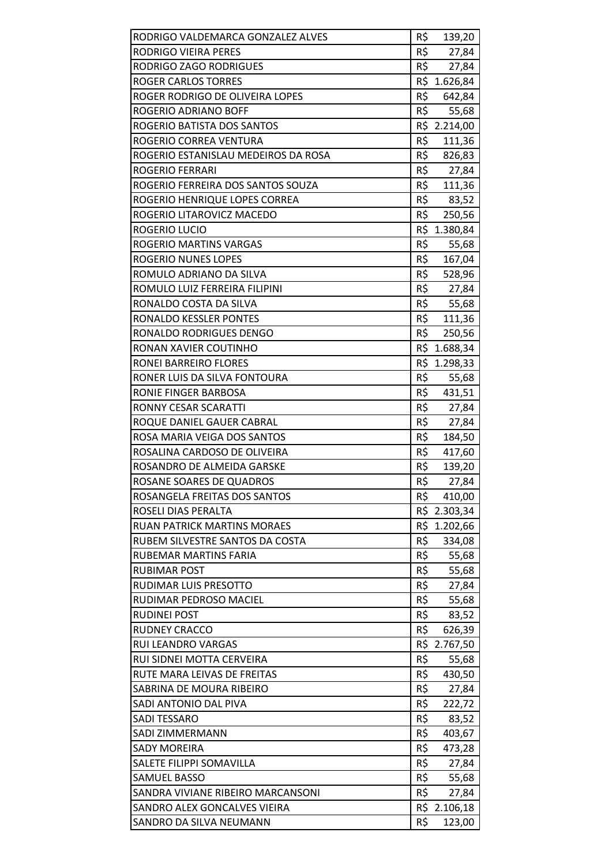| RODRIGO VALDEMARCA GONZALEZ ALVES   | R\$ | 139,20       |
|-------------------------------------|-----|--------------|
| RODRIGO VIEIRA PERES                | R\$ | 27,84        |
| RODRIGO ZAGO RODRIGUES              | R\$ | 27,84        |
| <b>ROGER CARLOS TORRES</b>          | R\$ | 1.626,84     |
| ROGER RODRIGO DE OLIVEIRA LOPES     | R\$ | 642,84       |
| ROGERIO ADRIANO BOFF                | R\$ | 55,68        |
| ROGERIO BATISTA DOS SANTOS          |     | R\$ 2.214,00 |
| ROGERIO CORREA VENTURA              | R\$ | 111,36       |
| ROGERIO ESTANISLAU MEDEIROS DA ROSA | R\$ | 826,83       |
| ROGERIO FERRARI                     | R\$ | 27,84        |
| ROGERIO FERREIRA DOS SANTOS SOUZA   |     | R\$ 111,36   |
| ROGERIO HENRIQUE LOPES CORREA       | R\$ | 83,52        |
| ROGERIO LITAROVICZ MACEDO           | R\$ | 250,56       |
| ROGERIO LUCIO                       | R\$ | 1.380,84     |
| ROGERIO MARTINS VARGAS              | R\$ | 55,68        |
| ROGERIO NUNES LOPES                 | R\$ | 167,04       |
| ROMULO ADRIANO DA SILVA             | R\$ | 528,96       |
| ROMULO LUIZ FERREIRA FILIPINI       | R\$ | 27,84        |
| RONALDO COSTA DA SILVA              | R\$ | 55,68        |
| RONALDO KESSLER PONTES              | R\$ | 111,36       |
| RONALDO RODRIGUES DENGO             | R\$ | 250,56       |
| RONAN XAVIER COUTINHO               |     | R\$ 1.688,34 |
| RONEI BARREIRO FLORES               | R\$ | 1.298,33     |
| RONER LUIS DA SILVA FONTOURA        | R\$ | 55,68        |
| RONIE FINGER BARBOSA                | R\$ | 431,51       |
| RONNY CESAR SCARATTI                | R\$ | 27,84        |
| ROQUE DANIEL GAUER CABRAL           | R\$ | 27,84        |
| ROSA MARIA VEIGA DOS SANTOS         | R\$ | 184,50       |
| ROSALINA CARDOSO DE OLIVEIRA        | R\$ | 417,60       |
| ROSANDRO DE ALMEIDA GARSKE          | R\$ | 139,20       |
| ROSANE SOARES DE QUADROS            | R\$ | 27,84        |
| ROSANGELA FREITAS DOS SANTOS        | R\$ | 410,00       |
| ROSELI DIAS PERALTA                 |     | R\$ 2.303,34 |
| <b>RUAN PATRICK MARTINS MORAES</b>  | R\$ | 1.202,66     |
| RUBEM SILVESTRE SANTOS DA COSTA     | R\$ | 334,08       |
| RUBEMAR MARTINS FARIA               | R\$ | 55,68        |
| <b>RUBIMAR POST</b>                 | R\$ | 55,68        |
| RUDIMAR LUIS PRESOTTO               | R\$ | 27,84        |
| RUDIMAR PEDROSO MACIEL              | R\$ | 55,68        |
| <b>RUDINEI POST</b>                 | R\$ | 83,52        |
| <b>RUDNEY CRACCO</b>                | R\$ | 626,39       |
| RUI LEANDRO VARGAS                  |     | R\$ 2.767,50 |
| RUI SIDNEI MOTTA CERVEIRA           | R\$ | 55,68        |
| RUTE MARA LEIVAS DE FREITAS         | R\$ | 430,50       |
| SABRINA DE MOURA RIBEIRO            | R\$ | 27,84        |
| SADI ANTONIO DAL PIVA               | R\$ | 222,72       |
| <b>SADI TESSARO</b>                 | R\$ | 83,52        |
| SADI ZIMMERMANN                     | R\$ | 403,67       |
| <b>SADY MOREIRA</b>                 | R\$ | 473,28       |
| SALETE FILIPPI SOMAVILLA            | R\$ | 27,84        |
| <b>SAMUEL BASSO</b>                 | R\$ | 55,68        |
| SANDRA VIVIANE RIBEIRO MARCANSONI   | R\$ | 27,84        |
| SANDRO ALEX GONCALVES VIEIRA        |     | R\$ 2.106,18 |
| SANDRO DA SILVA NEUMANN             | R\$ | 123,00       |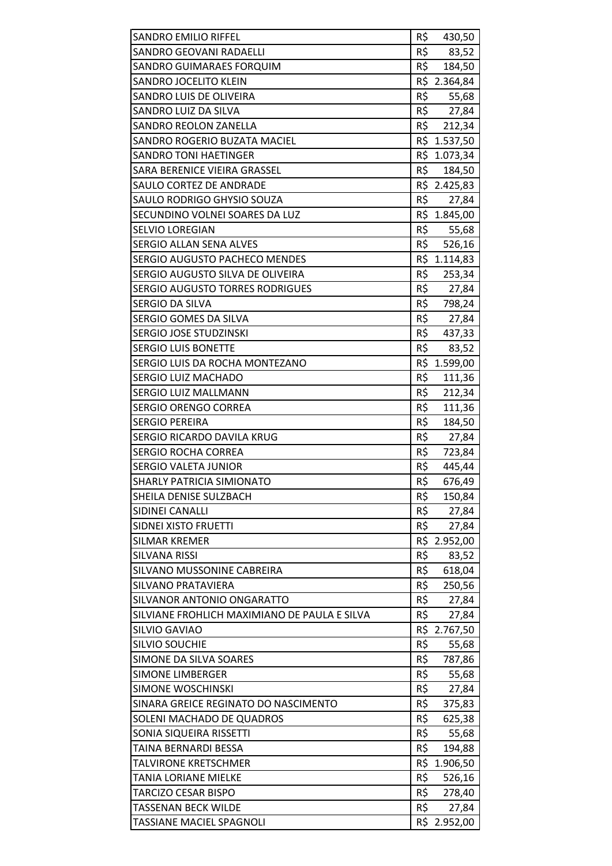| <b>SANDRO EMILIO RIFFEL</b>                     | R\$        | 430,50          |
|-------------------------------------------------|------------|-----------------|
| SANDRO GEOVANI RADAELLI                         | R\$        | 83,52           |
| SANDRO GUIMARAES FORQUIM                        | R\$        | 184,50          |
| SANDRO JOCELITO KLEIN                           |            | R\$ 2.364,84    |
| SANDRO LUIS DE OLIVEIRA                         |            | R\$ 55,68       |
| SANDRO LUIZ DA SILVA                            |            | R\$ 27,84       |
| <b>SANDRO REOLON ZANELLA</b>                    | R\$        | 212,34          |
| SANDRO ROGERIO BUZATA MACIEL                    |            | R\$ 1.537,50    |
| <b>SANDRO TONI HAETINGER</b>                    |            | R\$ 1.073,34    |
| SARA BERENICE VIEIRA GRASSEL                    | R\$        | 184,50          |
| SAULO CORTEZ DE ANDRADE                         |            | R\$ 2.425,83    |
| SAULO RODRIGO GHYSIO SOUZA                      | R\$        | 27,84           |
| SECUNDINO VOLNEI SOARES DA LUZ                  |            | R\$ 1.845,00    |
| SELVIO LOREGIAN                                 | R\$        | 55,68           |
| <b>SERGIO ALLAN SENA ALVES</b>                  | R\$        | 526,16          |
| <b>SERGIO AUGUSTO PACHECO MENDES</b>            |            | R\$ 1.114,83    |
| SERGIO AUGUSTO SILVA DE OLIVEIRA                | R\$        | 253,34          |
| <b>SERGIO AUGUSTO TORRES RODRIGUES</b>          | R\$        | 27,84           |
| SERGIO DA SILVA                                 | R\$        | 798,24          |
| SERGIO GOMES DA SILVA                           |            | R\$ 27,84       |
| SERGIO JOSE STUDZINSKI                          |            | R\$ 437,33      |
| <b>SERGIO LUIS BONETTE</b>                      | R\$        | 83,52           |
| SERGIO LUIS DA ROCHA MONTEZANO                  | R\$        | 1.599,00        |
| SERGIO LUIZ MACHADO                             | R\$        | 111,36          |
| SERGIO LUIZ MALLMANN                            | R\$        | 212,34          |
| <b>SERGIO ORENGO CORREA</b>                     | R\$        | 111,36          |
| <b>SERGIO PEREIRA</b>                           | R\$        | 184,50          |
| SERGIO RICARDO DAVILA KRUG                      | R\$        | 27,84           |
| <b>SERGIO ROCHA CORREA</b>                      | R\$        | 723,84          |
| <b>SERGIO VALETA JUNIOR</b>                     | R\$        | 445,44          |
| SHARLY PATRICIA SIMIONATO                       | R\$        | 676,49          |
| SHEILA DENISE SULZBACH                          | R\$        | 150,84          |
| SIDINEI CANALLI                                 | R\$        | 27,84           |
| SIDNEI XISTO FRUETTI                            | R\$        | 27,84           |
| <b>SILMAR KREMER</b>                            |            | R\$ 2.952,00    |
| <b>SILVANA RISSI</b>                            | R\$        | 83,52           |
| SILVANO MUSSONINE CABREIRA                      | R\$        | 618,04          |
| SILVANO PRATAVIERA                              | R\$        | 250,56          |
| SILVANOR ANTONIO ONGARATTO                      | R\$        | 27,84           |
| SILVIANE FROHLICH MAXIMIANO DE PAULA E SILVA    | R\$        | 27,84           |
| SILVIO GAVIAO                                   |            | R\$ 2.767,50    |
| <b>SILVIO SOUCHIE</b>                           | R\$        | 55,68           |
| SIMONE DA SILVA SOARES                          | R\$        | 787,86          |
| <b>SIMONE LIMBERGER</b>                         | R\$        | 55,68           |
| SIMONE WOSCHINSKI                               | R\$        | 27,84           |
| SINARA GREICE REGINATO DO NASCIMENTO            | R\$        | 375,83          |
| SOLENI MACHADO DE QUADROS                       | R\$<br>R\$ | 625,38          |
| SONIA SIQUEIRA RISSETTI<br>TAINA BERNARDI BESSA | R\$        | 55,68<br>194,88 |
| TALVIRONE KRETSCHMER                            | R\$        | 1.906,50        |
| TANIA LORIANE MIELKE                            | R\$        | 526,16          |
| TARCIZO CESAR BISPO                             | R\$        | 278,40          |
| <b>TASSENAN BECK WILDE</b>                      | R\$        | 27,84           |
| <b>TASSIANE MACIEL SPAGNOLI</b>                 | R\$        | 2.952,00        |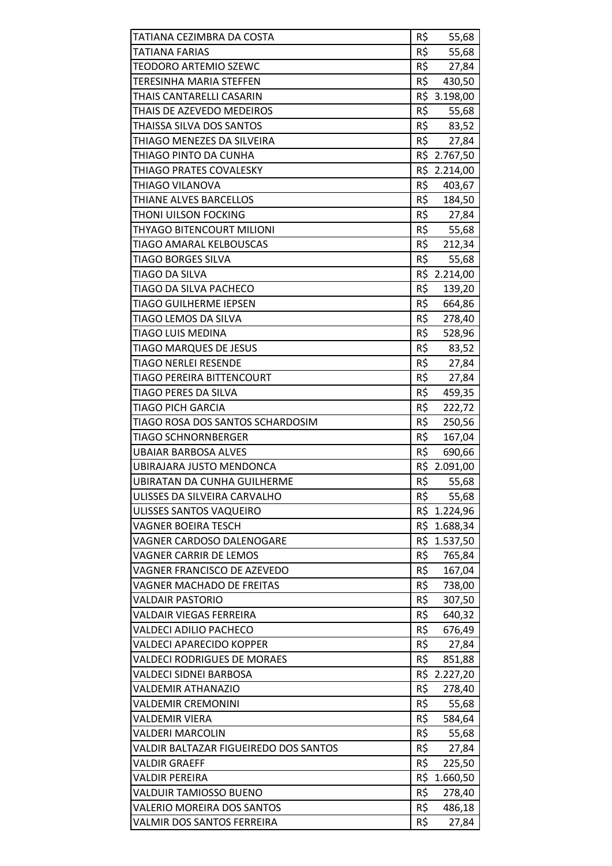| TATIANA CEZIMBRA DA COSTA             | R\$ | 55,68        |
|---------------------------------------|-----|--------------|
| TATIANA FARIAS                        | R\$ | 55,68        |
| <b>TEODORO ARTEMIO SZEWC</b>          | R\$ | 27,84        |
| <b>TERESINHA MARIA STEFFEN</b>        | R\$ | 430,50       |
| THAIS CANTARELLI CASARIN              |     | R\$ 3.198,00 |
| THAIS DE AZEVEDO MEDEIROS             | R\$ | 55,68        |
| THAISSA SILVA DOS SANTOS              | R\$ | 83,52        |
| THIAGO MENEZES DA SILVEIRA            | R\$ | 27,84        |
| THIAGO PINTO DA CUNHA                 |     | R\$ 2.767,50 |
| THIAGO PRATES COVALESKY               |     | R\$ 2.214,00 |
| THIAGO VILANOVA                       | R\$ | 403,67       |
| THIANE ALVES BARCELLOS                | R\$ | 184,50       |
| THONI UILSON FOCKING                  | R\$ | 27,84        |
| THYAGO BITENCOURT MILIONI             | R\$ | 55,68        |
| TIAGO AMARAL KELBOUSCAS               | R\$ | 212,34       |
| <b>TIAGO BORGES SILVA</b>             | R\$ | 55,68        |
| TIAGO DA SILVA                        |     | R\$ 2.214,00 |
| TIAGO DA SILVA PACHECO                | R\$ | 139,20       |
| <b>TIAGO GUILHERME IEPSEN</b>         | R\$ | 664,86       |
| TIAGO LEMOS DA SILVA                  | R\$ | 278,40       |
| <b>TIAGO LUIS MEDINA</b>              | R\$ | 528,96       |
| <b>TIAGO MARQUES DE JESUS</b>         | R\$ | 83,52        |
| <b>TIAGO NERLEI RESENDE</b>           | R\$ | 27,84        |
| TIAGO PEREIRA BITTENCOURT             | R\$ | 27,84        |
| TIAGO PERES DA SILVA                  | R\$ | 459,35       |
| <b>TIAGO PICH GARCIA</b>              | R\$ | 222,72       |
| TIAGO ROSA DOS SANTOS SCHARDOSIM      | R\$ | 250,56       |
| <b>TIAGO SCHNORNBERGER</b>            | R\$ | 167,04       |
| <b>UBAIAR BARBOSA ALVES</b>           | R\$ | 690,66       |
| UBIRAJARA JUSTO MENDONCA              |     | R\$ 2.091,00 |
| <b>UBIRATAN DA CUNHA GUILHERME</b>    | R\$ | 55,68        |
| ULISSES DA SILVEIRA CARVALHO          | R\$ | 55,68        |
| ULISSES SANTOS VAQUEIRO               |     | R\$ 1.224,96 |
| <b>VAGNER BOEIRA TESCH</b>            | R\$ | 1.688,34     |
| VAGNER CARDOSO DALENOGARE             |     | R\$ 1.537,50 |
| VAGNER CARRIR DE LEMOS                | R\$ | 765,84       |
| VAGNER FRANCISCO DE AZEVEDO           | R\$ | 167,04       |
| <b>VAGNER MACHADO DE FREITAS</b>      | R\$ | 738,00       |
| <b>VALDAIR PASTORIO</b>               | R\$ | 307,50       |
| <b>VALDAIR VIEGAS FERREIRA</b>        | R\$ | 640,32       |
| <b>VALDECI ADILIO PACHECO</b>         | R\$ | 676,49       |
| <b>VALDECI APARECIDO KOPPER</b>       | R\$ | 27,84        |
| <b>VALDECI RODRIGUES DE MORAES</b>    | R\$ | 851,88       |
| VALDECI SIDNEI BARBOSA                |     | R\$ 2.227,20 |
| <b>VALDEMIR ATHANAZIO</b>             | R\$ | 278,40       |
| <b>VALDEMIR CREMONINI</b>             | R\$ | 55,68        |
| <b>VALDEMIR VIERA</b>                 | R\$ | 584,64       |
| <b>VALDERI MARCOLIN</b>               | R\$ | 55,68        |
| VALDIR BALTAZAR FIGUEIREDO DOS SANTOS | R\$ | 27,84        |
| <b>VALDIR GRAEFF</b>                  | R\$ | 225,50       |
| <b>VALDIR PEREIRA</b>                 | R\$ | 1.660,50     |
| VALDUIR TAMIOSSO BUENO                | R\$ | 278,40       |
| <b>VALERIO MOREIRA DOS SANTOS</b>     | R\$ | 486,18       |
| VALMIR DOS SANTOS FERREIRA            | R\$ | 27,84        |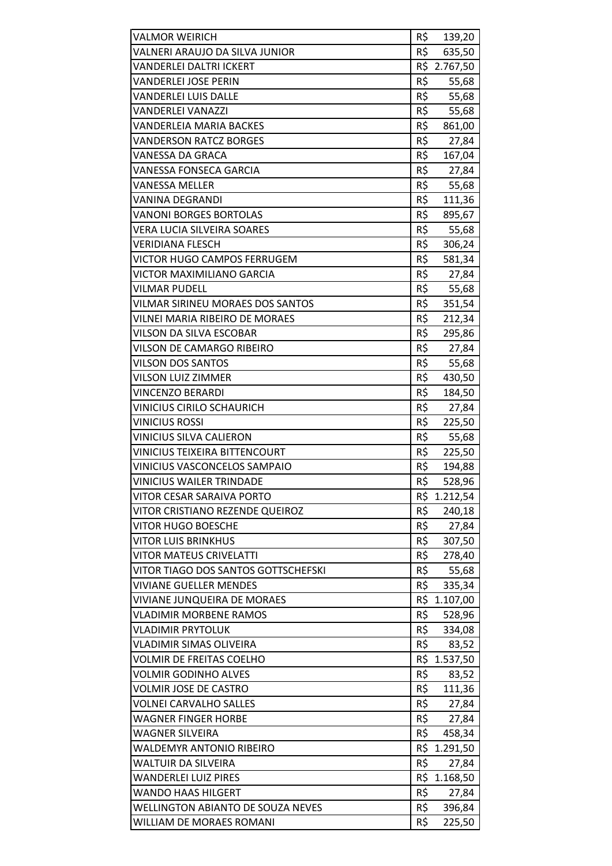| <b>VALMOR WEIRICH</b>                    | R\$ | 139,20       |
|------------------------------------------|-----|--------------|
| VALNERI ARAUJO DA SILVA JUNIOR           | R\$ | 635,50       |
| <b>VANDERLEI DALTRI ICKERT</b>           |     | R\$ 2.767,50 |
| <b>VANDERLEI JOSE PERIN</b>              | R\$ | 55,68        |
| <b>VANDERLEI LUIS DALLE</b>              | R\$ | 55,68        |
| <b>VANDERLEI VANAZZI</b>                 | R\$ | 55,68        |
| VANDERLEIA MARIA BACKES                  | R\$ | 861,00       |
| <b>VANDERSON RATCZ BORGES</b>            | R\$ | 27,84        |
| VANESSA DA GRACA                         | R\$ | 167,04       |
| <b>VANESSA FONSECA GARCIA</b>            | R\$ | 27,84        |
| <b>VANESSA MELLER</b>                    | R\$ | 55,68        |
| VANINA DEGRANDI                          | R\$ | 111,36       |
| <b>VANONI BORGES BORTOLAS</b>            | R\$ | 895,67       |
| <b>VERA LUCIA SILVEIRA SOARES</b>        | R\$ | 55,68        |
| <b>VERIDIANA FLESCH</b>                  | R\$ | 306,24       |
| <b>VICTOR HUGO CAMPOS FERRUGEM</b>       | R\$ | 581,34       |
| VICTOR MAXIMILIANO GARCIA                | R\$ | 27,84        |
| <b>VILMAR PUDELL</b>                     | R\$ | 55,68        |
| VILMAR SIRINEU MORAES DOS SANTOS         | R\$ | 351,54       |
| <b>VILNEI MARIA RIBEIRO DE MORAES</b>    | R\$ | 212,34       |
| VILSON DA SILVA ESCOBAR                  | R\$ | 295,86       |
| VILSON DE CAMARGO RIBEIRO                | R\$ | 27,84        |
| <b>VILSON DOS SANTOS</b>                 | R\$ | 55,68        |
| <b>VILSON LUIZ ZIMMER</b>                | R\$ | 430,50       |
| <b>VINCENZO BERARDI</b>                  | R\$ | 184,50       |
| <b>VINICIUS CIRILO SCHAURICH</b>         | R\$ | 27,84        |
| <b>VINICIUS ROSSI</b>                    | R\$ | 225,50       |
| <b>VINICIUS SILVA CALIERON</b>           | R\$ | 55,68        |
| <b>VINICIUS TEIXEIRA BITTENCOURT</b>     | R\$ | 225,50       |
| <b>VINICIUS VASCONCELOS SAMPAIO</b>      | R\$ | 194,88       |
| <b>VINICIUS WAILER TRINDADE</b>          | R\$ | 528,96       |
| VITOR CESAR SARAIVA PORTO                |     | R\$ 1.212,54 |
| VITOR CRISTIANO REZENDE QUEIROZ          | R\$ | 240,18       |
| <b>VITOR HUGO BOESCHE</b>                | R\$ | 27,84        |
| <b>VITOR LUIS BRINKHUS</b>               | R\$ | 307,50       |
| <b>VITOR MATEUS CRIVELATTI</b>           | R\$ | 278,40       |
| VITOR TIAGO DOS SANTOS GOTTSCHEFSKI      | R\$ | 55,68        |
| <b>VIVIANE GUELLER MENDES</b>            | R\$ | 335,34       |
| <b>VIVIANE JUNQUEIRA DE MORAES</b>       | R\$ | 1.107,00     |
| <b>VLADIMIR MORBENE RAMOS</b>            | R\$ | 528,96       |
| <b>VLADIMIR PRYTOLUK</b>                 | R\$ | 334,08       |
| VLADIMIR SIMAS OLIVEIRA                  | R\$ | 83,52        |
| <b>VOLMIR DE FREITAS COELHO</b>          |     | R\$ 1.537,50 |
| <b>VOLMIR GODINHO ALVES</b>              | R\$ | 83,52        |
| <b>VOLMIR JOSE DE CASTRO</b>             | R\$ | 111,36       |
| <b>VOLNEI CARVALHO SALLES</b>            | R\$ | 27,84        |
| WAGNER FINGER HORBE                      | R\$ | 27,84        |
| <b>WAGNER SILVEIRA</b>                   | R\$ | 458,34       |
| <b>WALDEMYR ANTONIO RIBEIRO</b>          | R\$ | 1.291,50     |
| <b>WALTUIR DA SILVEIRA</b>               | R\$ | 27,84        |
| <b>WANDERLEI LUIZ PIRES</b>              | R\$ | 1.168,50     |
| <b>WANDO HAAS HILGERT</b>                | R\$ | 27,84        |
| <b>WELLINGTON ABIANTO DE SOUZA NEVES</b> | R\$ | 396,84       |
| WILLIAM DE MORAES ROMANI                 | R\$ | 225,50       |